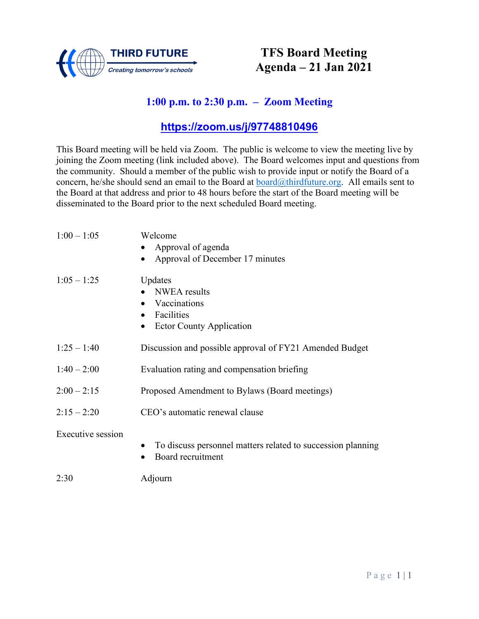

## **TFS Board Meeting Agenda – 21 Jan 2021**

## **1:00 p.m. to 2:30 p.m. – Zoom Meeting**

### **<https://zoom.us/j/97748810496>**

This Board meeting will be held via Zoom. The public is welcome to view the meeting live by joining the Zoom meeting (link included above). The Board welcomes input and questions from the community. Should a member of the public wish to provide input or notify the Board of a concern, he/she should send an email to the Board at  $\frac{\partial \text{chirdfulture.org}}{\partial \text{chirdfulture.org}}$ . All emails sent to the Board at that address and prior to 48 hours before the start of the Board meeting will be disseminated to the Board prior to the next scheduled Board meeting.

| $1:00 - 1:05$     | Welcome                                                     |  |
|-------------------|-------------------------------------------------------------|--|
|                   | Approval of agenda                                          |  |
|                   | Approval of December 17 minutes                             |  |
| $1:05 - 1:25$     | Updates                                                     |  |
|                   | <b>NWEA</b> results                                         |  |
|                   | Vaccinations                                                |  |
|                   | Facilities                                                  |  |
|                   | <b>Ector County Application</b><br>$\bullet$                |  |
| $1:25 - 1:40$     | Discussion and possible approval of FY21 Amended Budget     |  |
| $1:40 - 2:00$     | Evaluation rating and compensation briefing                 |  |
| $2:00 - 2:15$     | Proposed Amendment to Bylaws (Board meetings)               |  |
| $2:15 - 2:20$     | CEO's automatic renewal clause                              |  |
| Executive session | To discuss personnel matters related to succession planning |  |
|                   | Board recruitment                                           |  |
| 2:30              | Adjourn                                                     |  |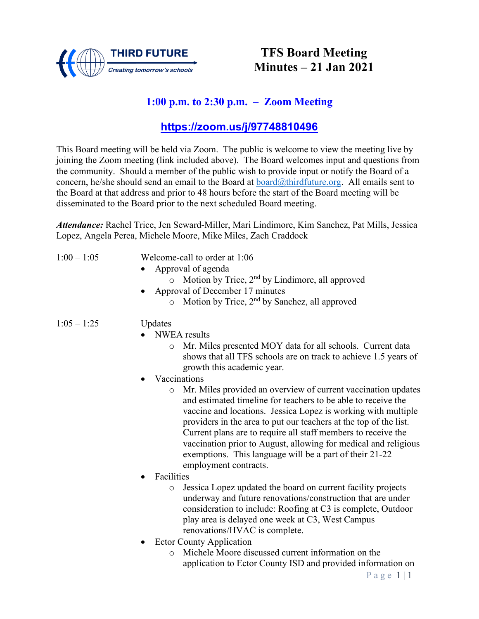

## **TFS Board Meeting Minutes – 21 Jan 2021**

## **1:00 p.m. to 2:30 p.m. – Zoom Meeting**

### **[https://zoom.us/j/97748810496](about:blank)**

This Board meeting will be held via Zoom. The public is welcome to view the meeting live by joining the Zoom meeting (link included above). The Board welcomes input and questions from the community. Should a member of the public wish to provide input or notify the Board of a concern, he/she should send an email to the Board at [board@thirdfuture.org.](about:blank) All emails sent to the Board at that address and prior to 48 hours before the start of the Board meeting will be disseminated to the Board prior to the next scheduled Board meeting.

*Attendance:* Rachel Trice, Jen Seward-Miller, Mari Lindimore, Kim Sanchez, Pat Mills, Jessica Lopez, Angela Perea, Michele Moore, Mike Miles, Zach Craddock

- 1:00 1:05 Welcome-call to order at 1:06
	- Approval of agenda
		- $\circ$  Motion by Trice,  $2<sup>nd</sup>$  by Lindimore, all approved
	- Approval of December 17 minutes
		- $\circ$  Motion by Trice, 2<sup>nd</sup> by Sanchez, all approved

#### 1:05 – 1:25 Updates

- NWEA results
	- o Mr. Miles presented MOY data for all schools. Current data shows that all TFS schools are on track to achieve 1.5 years of growth this academic year.
- Vaccinations
	- o Mr. Miles provided an overview of current vaccination updates and estimated timeline for teachers to be able to receive the vaccine and locations. Jessica Lopez is working with multiple providers in the area to put our teachers at the top of the list. Current plans are to require all staff members to receive the vaccination prior to August, allowing for medical and religious exemptions. This language will be a part of their 21-22 employment contracts.
- Facilities
	- o Jessica Lopez updated the board on current facility projects underway and future renovations/construction that are under consideration to include: Roofing at C3 is complete, Outdoor play area is delayed one week at C3, West Campus renovations/HVAC is complete.
- Ector County Application
	- o Michele Moore discussed current information on the application to Ector County ISD and provided information on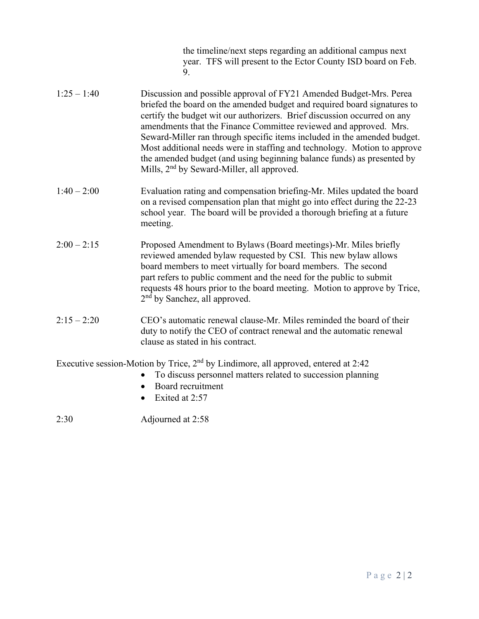the timeline/next steps regarding an additional campus next year. TFS will present to the Ector County ISD board on Feb. 9.

- 1:25 1:40 Discussion and possible approval of FY21 Amended Budget-Mrs. Perea briefed the board on the amended budget and required board signatures to certify the budget wit our authorizers. Brief discussion occurred on any amendments that the Finance Committee reviewed and approved. Mrs. Seward-Miller ran through specific items included in the amended budget. Most additional needs were in staffing and technology. Motion to approve the amended budget (and using beginning balance funds) as presented by Mills, 2<sup>nd</sup> by Seward-Miller, all approved.
- 1:40 2:00 Evaluation rating and compensation briefing-Mr. Miles updated the board on a revised compensation plan that might go into effect during the 22-23 school year. The board will be provided a thorough briefing at a future meeting.
- 2:00 2:15 Proposed Amendment to Bylaws (Board meetings)-Mr. Miles briefly reviewed amended bylaw requested by CSI. This new bylaw allows board members to meet virtually for board members. The second part refers to public comment and the need for the public to submit requests 48 hours prior to the board meeting. Motion to approve by Trice, 2<sup>nd</sup> by Sanchez, all approved.
- 2:15 2:20 CEO's automatic renewal clause-Mr. Miles reminded the board of their duty to notify the CEO of contract renewal and the automatic renewal clause as stated in his contract.

Executive session-Motion by Trice, 2nd by Lindimore, all approved, entered at 2:42

- To discuss personnel matters related to succession planning
- Board recruitment
- Exited at 2:57

2:30 Adjourned at 2:58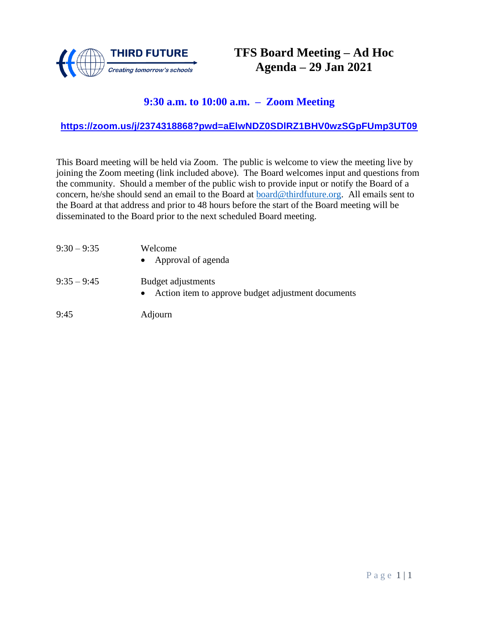

## **TFS Board Meeting – Ad Hoc Agenda – 29 Jan 2021**

### **9:30 a.m. to 10:00 a.m. – Zoom Meeting**

#### **<https://zoom.us/j/2374318868?pwd=aElwNDZ0SDlRZ1BHV0wzSGpFUmp3UT09>**

| $9:30 - 9:35$ | Welcome<br>• Approval of agenda                                            |
|---------------|----------------------------------------------------------------------------|
| $9:35-9:45$   | Budget adjustments<br>• Action item to approve budget adjustment documents |
| 9:45          | Adjourn                                                                    |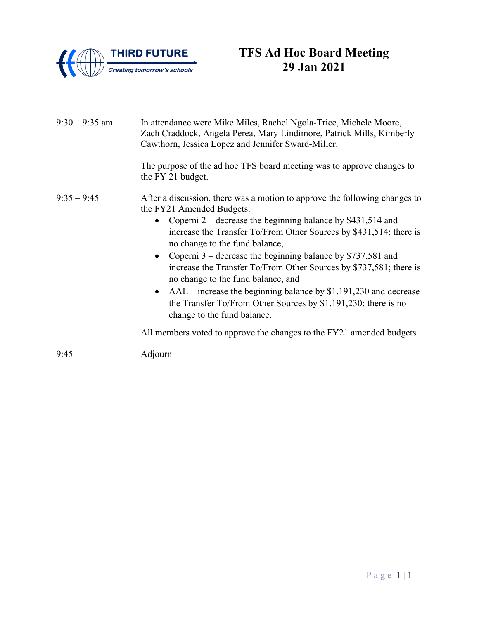

# **TFS Ad Hoc Board Meeting 29 Jan 2021**

| $9:30 - 9:35$ am | In attendance were Mike Miles, Rachel Ngola-Trice, Michele Moore,<br>Zach Craddock, Angela Perea, Mary Lindimore, Patrick Mills, Kimberly<br>Cawthorn, Jessica Lopez and Jennifer Sward-Miller. |
|------------------|-------------------------------------------------------------------------------------------------------------------------------------------------------------------------------------------------|
|                  | The purpose of the ad hoc TFS board meeting was to approve changes to<br>the FY 21 budget.                                                                                                      |
| $9:35 - 9:45$    | After a discussion, there was a motion to approve the following changes to<br>the FY21 Amended Budgets:                                                                                         |
|                  | Coperni $2$ – decrease the beginning balance by \$431,514 and<br>increase the Transfer To/From Other Sources by \$431,514; there is<br>no change to the fund balance,                           |
|                  | • Coperni $3$ – decrease the beginning balance by \$737,581 and<br>increase the Transfer To/From Other Sources by \$737,581; there is<br>no change to the fund balance, and                     |
|                  | $AAL$ – increase the beginning balance by \$1,191,230 and decrease<br>$\bullet$<br>the Transfer To/From Other Sources by \$1,191,230; there is no<br>change to the fund balance.                |
|                  | All members voted to approve the changes to the FY21 amended budgets.                                                                                                                           |
| 9:45             | Adjourn                                                                                                                                                                                         |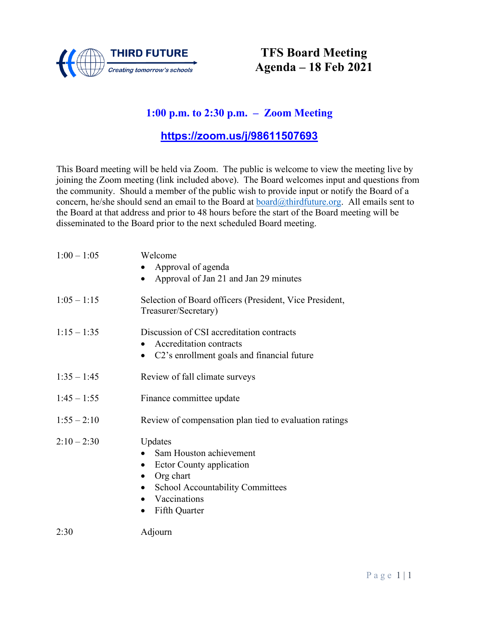

## **TFS Board Meeting Agenda – 18 Feb 2021**

### **1:00 p.m. to 2:30 p.m. – Zoom Meeting**

### **<https://zoom.us/j/98611507693>**

| $1:00 - 1:05$ | Welcome<br>Approval of agenda<br>Approval of Jan 21 and Jan 29 minutes<br>$\bullet$                                                                       |
|---------------|-----------------------------------------------------------------------------------------------------------------------------------------------------------|
| $1:05 - 1:15$ | Selection of Board officers (President, Vice President,<br>Treasurer/Secretary)                                                                           |
| $1:15 - 1:35$ | Discussion of CSI accreditation contracts<br>• Accreditation contracts<br>• C2's enrollment goals and financial future                                    |
| $1:35 - 1:45$ | Review of fall climate surveys                                                                                                                            |
| $1:45 - 1:55$ | Finance committee update                                                                                                                                  |
| $1:55 - 2:10$ | Review of compensation plan tied to evaluation ratings                                                                                                    |
| $2:10 - 2:30$ | Updates<br>Sam Houston achievement<br><b>Ector County application</b><br>Org chart<br>School Accountability Committees<br>• Vaccinations<br>Fifth Quarter |
| 2:30          | Adjourn                                                                                                                                                   |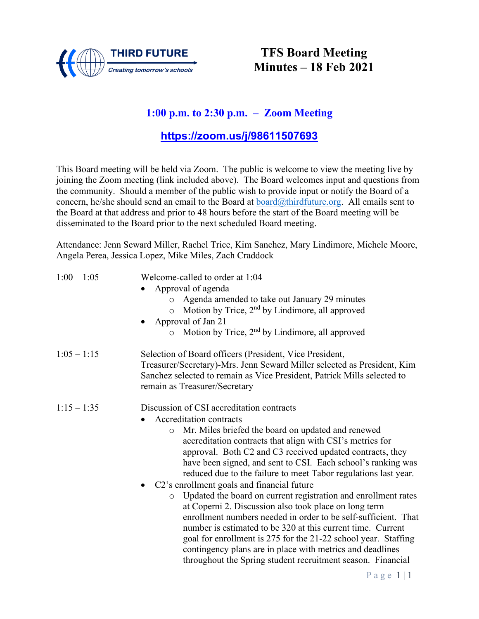

## **TFS Board Meeting Minutes – 18 Feb 2021**

### **1:00 p.m. to 2:30 p.m. – Zoom Meeting**

### **[https://zoom.us/j/98611507693](about:blank)**

This Board meeting will be held via Zoom. The public is welcome to view the meeting live by joining the Zoom meeting (link included above). The Board welcomes input and questions from the community. Should a member of the public wish to provide input or notify the Board of a concern, he/she should send an email to the Board at [board@thirdfuture.org.](about:blank) All emails sent to the Board at that address and prior to 48 hours before the start of the Board meeting will be disseminated to the Board prior to the next scheduled Board meeting.

Attendance: Jenn Seward Miller, Rachel Trice, Kim Sanchez, Mary Lindimore, Michele Moore, Angela Perea, Jessica Lopez, Mike Miles, Zach Craddock

| $1:00 - 1:05$ | Welcome-called to order at 1:04<br>Approval of agenda<br>Agenda amended to take out January 29 minutes<br>$\circ$<br>Motion by Trice, 2 <sup>nd</sup> by Lindimore, all approved<br>$\circ$<br>Approval of Jan 21<br>$\circ$ Motion by Trice, 2 <sup>nd</sup> by Lindimore, all approved                                                                                                                                                                                                                                                                                                                                                                                                                                                                                                                                                                                                                                |
|---------------|-------------------------------------------------------------------------------------------------------------------------------------------------------------------------------------------------------------------------------------------------------------------------------------------------------------------------------------------------------------------------------------------------------------------------------------------------------------------------------------------------------------------------------------------------------------------------------------------------------------------------------------------------------------------------------------------------------------------------------------------------------------------------------------------------------------------------------------------------------------------------------------------------------------------------|
| $1:05 - 1:15$ | Selection of Board officers (President, Vice President,<br>Treasurer/Secretary)-Mrs. Jenn Seward Miller selected as President, Kim<br>Sanchez selected to remain as Vice President, Patrick Mills selected to<br>remain as Treasurer/Secretary                                                                                                                                                                                                                                                                                                                                                                                                                                                                                                                                                                                                                                                                          |
| $1:15 - 1:35$ | Discussion of CSI accreditation contracts<br>Accreditation contracts<br>Mr. Miles briefed the board on updated and renewed<br>$\circ$<br>accreditation contracts that align with CSI's metrics for<br>approval. Both C2 and C3 received updated contracts, they<br>have been signed, and sent to CSI. Each school's ranking was<br>reduced due to the failure to meet Tabor regulations last year.<br>• C2's enrollment goals and financial future<br>Updated the board on current registration and enrollment rates<br>$\circ$<br>at Coperni 2. Discussion also took place on long term<br>enrollment numbers needed in order to be self-sufficient. That<br>number is estimated to be 320 at this current time. Current<br>goal for enrollment is 275 for the 21-22 school year. Staffing<br>contingency plans are in place with metrics and deadlines<br>throughout the Spring student recruitment season. Financial |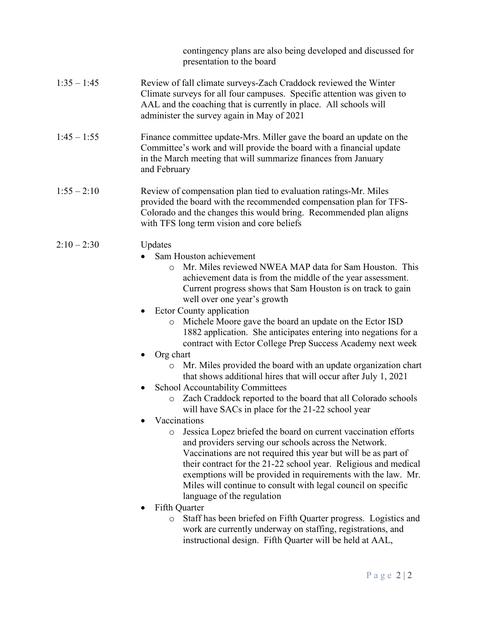contingency plans are also being developed and discussed for presentation to the board

- 1:35 1:45 Review of fall climate surveys-Zach Craddock reviewed the Winter Climate surveys for all four campuses. Specific attention was given to AAL and the coaching that is currently in place. All schools will administer the survey again in May of 2021
- 1:45 1:55 Finance committee update-Mrs. Miller gave the board an update on the Committee's work and will provide the board with a financial update in the March meeting that will summarize finances from January and February
- 1:55 2:10 Review of compensation plan tied to evaluation ratings-Mr. Miles provided the board with the recommended compensation plan for TFS- Colorado and the changes this would bring. Recommended plan aligns with TFS long term vision and core beliefs
- 2:10 2:30 Updates
	- Sam Houston achievement
		- o Mr. Miles reviewed NWEA MAP data for Sam Houston. This achievement data is from the middle of the year assessment. Current progress shows that Sam Houston is on track to gain well over one year's growth
	- Ector County application
		- o Michele Moore gave the board an update on the Ector ISD 1882 application. She anticipates entering into negations for a contract with Ector College Prep Success Academy next week
	- Org chart
		- o Mr. Miles provided the board with an update organization chart that shows additional hires that will occur after July 1, 2021
	- School Accountability Committees
		- o Zach Craddock reported to the board that all Colorado schools will have SACs in place for the 21-22 school year
	- Vaccinations
		- o Jessica Lopez briefed the board on current vaccination efforts and providers serving our schools across the Network. Vaccinations are not required this year but will be as part of their contract for the 21-22 school year. Religious and medical exemptions will be provided in requirements with the law. Mr. Miles will continue to consult with legal council on specific language of the regulation
	- Fifth Quarter
		- o Staff has been briefed on Fifth Quarter progress. Logistics and work are currently underway on staffing, registrations, and instructional design. Fifth Quarter will be held at AAL,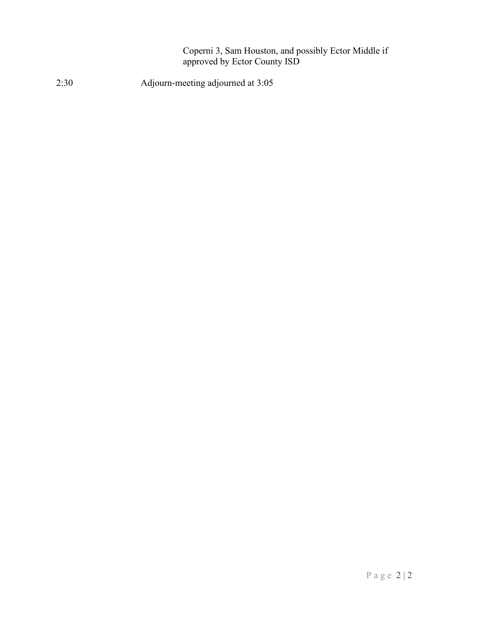Coperni 3, Sam Houston, and possibly Ector Middle if approved by Ector County ISD

2:30 Adjourn-meeting adjourned at 3:05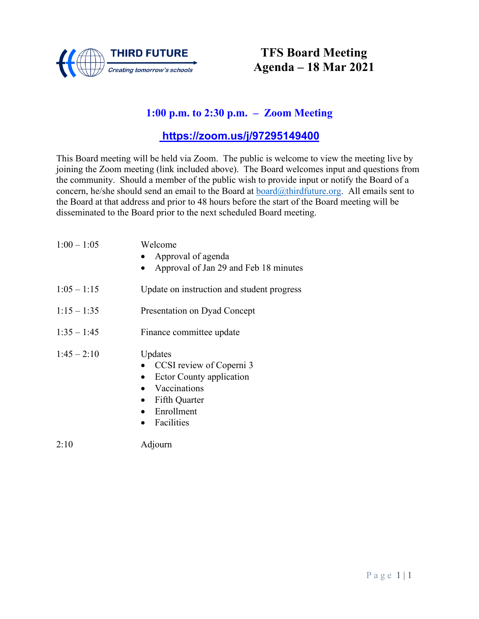

## **TFS Board Meeting Agenda – 18 Mar 2021**

### **1:00 p.m. to 2:30 p.m. – Zoom Meeting**

### **<https://zoom.us/j/97295149400>**

| $1:00 - 1:05$ | Welcome<br>Approval of agenda<br>Approval of Jan 29 and Feb 18 minutes                                                                     |
|---------------|--------------------------------------------------------------------------------------------------------------------------------------------|
| $1:05 - 1:15$ | Update on instruction and student progress                                                                                                 |
| $1:15 - 1:35$ | Presentation on Dyad Concept                                                                                                               |
| $1:35 - 1:45$ | Finance committee update                                                                                                                   |
| $1:45 - 2:10$ | Updates<br>CCSI review of Coperni 3<br><b>Ector County application</b><br>Vaccinations<br><b>Fifth Quarter</b><br>Enrollment<br>Facilities |
| 2:10          | Adjourn                                                                                                                                    |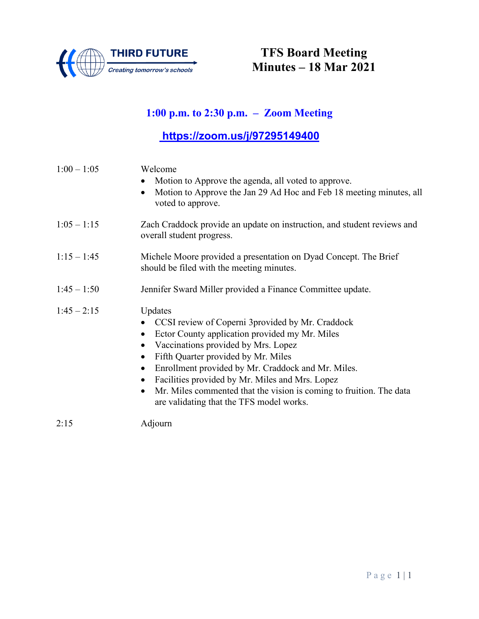

## **TFS Board Meeting Minutes – 18 Mar 2021**

## **1:00 p.m. to 2:30 p.m. – Zoom Meeting**

# **[https://zoom.us/j/97295149400](about:blank)**

| $1:00 - 1:05$ | Welcome<br>Motion to Approve the agenda, all voted to approve.<br>Motion to Approve the Jan 29 Ad Hoc and Feb 18 meeting minutes, all<br>voted to approve.                                                                                                                                                                                                                                                                                        |  |  |
|---------------|---------------------------------------------------------------------------------------------------------------------------------------------------------------------------------------------------------------------------------------------------------------------------------------------------------------------------------------------------------------------------------------------------------------------------------------------------|--|--|
| $1:05 - 1:15$ | Zach Craddock provide an update on instruction, and student reviews and<br>overall student progress.                                                                                                                                                                                                                                                                                                                                              |  |  |
| $1:15 - 1:45$ | Michele Moore provided a presentation on Dyad Concept. The Brief<br>should be filed with the meeting minutes.                                                                                                                                                                                                                                                                                                                                     |  |  |
| $1:45 - 1:50$ | Jennifer Sward Miller provided a Finance Committee update.                                                                                                                                                                                                                                                                                                                                                                                        |  |  |
| $1:45 - 2:15$ | Updates<br>CCSI review of Coperni 3provided by Mr. Craddock<br>Ector County application provided my Mr. Miles<br>Vaccinations provided by Mrs. Lopez<br>Fifth Quarter provided by Mr. Miles<br>Enrollment provided by Mr. Craddock and Mr. Miles.<br>Facilities provided by Mr. Miles and Mrs. Lopez<br>$\bullet$<br>Mr. Miles commented that the vision is coming to fruition. The data<br>$\bullet$<br>are validating that the TFS model works. |  |  |
| 2:15          | Adjourn                                                                                                                                                                                                                                                                                                                                                                                                                                           |  |  |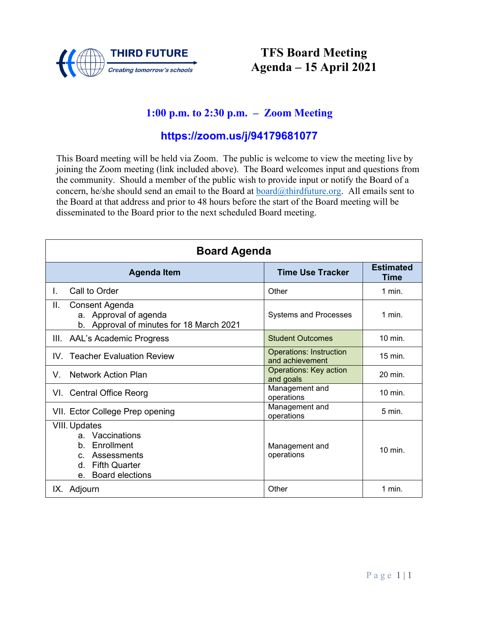

## **TFS Board Meeting Agenda – 15 April 2021**

### **1:00 p.m. to 2:30 p.m. – Zoom Meeting**

### **<https://zoom.us/j/94179681077>**

| <b>Board Agenda</b>                                                                                                                                |                                                   |                          |  |
|----------------------------------------------------------------------------------------------------------------------------------------------------|---------------------------------------------------|--------------------------|--|
| <b>Agenda Item</b>                                                                                                                                 | <b>Time Use Tracker</b>                           | <b>Estimated</b><br>Time |  |
| Call to Order<br>L.                                                                                                                                | Other                                             | $1$ min.                 |  |
| Π.<br>Consent Agenda<br>a. Approval of agenda<br>b. Approval of minutes for 18 March 2021                                                          | <b>Systems and Processes</b>                      | $1$ min.                 |  |
| III. AAL's Academic Progress                                                                                                                       | <b>Student Outcomes</b>                           | 10 min.                  |  |
| <b>Teacher Evaluation Review</b><br>IV.                                                                                                            | <b>Operations: Instruction</b><br>and achievement | 15 min.                  |  |
| <b>Network Action Plan</b><br>V.                                                                                                                   | <b>Operations: Key action</b><br>and goals        | 20 min.                  |  |
| VI. Central Office Reorg                                                                                                                           | Management and<br>operations                      | 10 min.                  |  |
| VII. Ector College Prep opening                                                                                                                    | Management and<br>operations                      | 5 min.                   |  |
| <b>VIII. Updates</b><br>a. Vaccinations<br>Enrollment<br>$b_{-}$<br>Assessments<br>$C_{\cdot}$<br>d. Fifth Quarter<br><b>Board elections</b><br>e. | Management and<br>operations                      | 10 min.                  |  |
| IX. Adjourn                                                                                                                                        | Other                                             | 1 min.                   |  |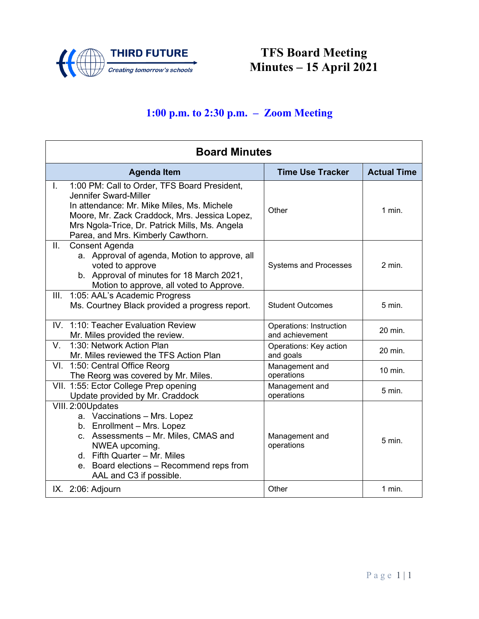

**TFS Board Meeting Minutes – 15 April 2021**

# **1:00 p.m. to 2:30 p.m. – Zoom Meeting**

| <b>Board Minutes</b>                                                                                                                                                                                                                                               |                                            |                    |  |
|--------------------------------------------------------------------------------------------------------------------------------------------------------------------------------------------------------------------------------------------------------------------|--------------------------------------------|--------------------|--|
| <b>Agenda Item</b>                                                                                                                                                                                                                                                 | <b>Time Use Tracker</b>                    | <b>Actual Time</b> |  |
| 1:00 PM: Call to Order, TFS Board President,<br>I.<br>Jennifer Sward-Miller<br>In attendance: Mr. Mike Miles, Ms. Michele<br>Moore, Mr. Zack Craddock, Mrs. Jessica Lopez,<br>Mrs Ngola-Trice, Dr. Patrick Mills, Ms. Angela<br>Parea, and Mrs. Kimberly Cawthorn. | Other                                      | 1 min.             |  |
| Ш.<br>Consent Agenda<br>a. Approval of agenda, Motion to approve, all<br>voted to approve<br>b. Approval of minutes for 18 March 2021,<br>Motion to approve, all voted to Approve.                                                                                 | <b>Systems and Processes</b>               | $2$ min.           |  |
| 1:05: AAL's Academic Progress<br>III.<br>Ms. Courtney Black provided a progress report.                                                                                                                                                                            | <b>Student Outcomes</b>                    | 5 min.             |  |
| IV. 1:10: Teacher Evaluation Review<br>Mr. Miles provided the review.                                                                                                                                                                                              | Operations: Instruction<br>and achievement | 20 min.            |  |
| 1:30: Network Action Plan<br>V.<br>Mr. Miles reviewed the TFS Action Plan                                                                                                                                                                                          | Operations: Key action<br>and goals        | 20 min.            |  |
| VI. 1:50: Central Office Reorg<br>The Reorg was covered by Mr. Miles.                                                                                                                                                                                              | Management and<br>operations               | 10 min.            |  |
| VII. 1:55: Ector College Prep opening<br>Update provided by Mr. Craddock                                                                                                                                                                                           | Management and<br>operations               | $5$ min.           |  |
| VIII. 2:00Updates<br>a. Vaccinations - Mrs. Lopez<br>b. Enrollment - Mrs. Lopez<br>c. Assessments - Mr. Miles, CMAS and<br>NWEA upcoming.<br>d. Fifth Quarter - Mr. Miles<br>e. Board elections - Recommend reps from<br>AAL and C3 if possible.                   | Management and<br>operations               | 5 min.             |  |
| IX. 2:06: Adjourn                                                                                                                                                                                                                                                  | Other                                      | $1$ min.           |  |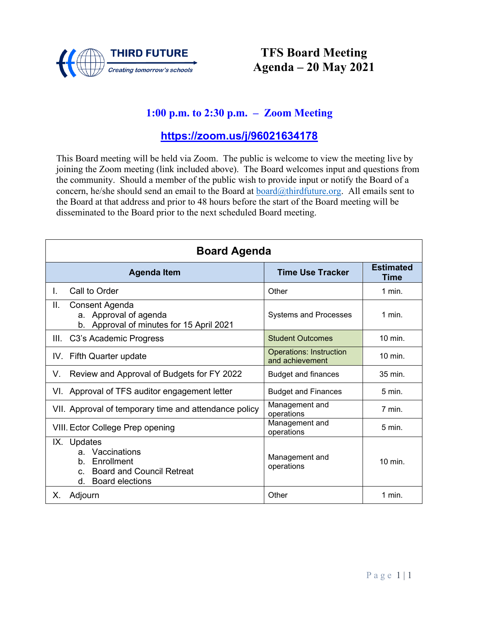

## **TFS Board Meeting Agenda – 20 May 2021**

### **1:00 p.m. to 2:30 p.m. – Zoom Meeting**

### **<https://zoom.us/j/96021634178>**

| <b>Board Agenda</b>                                                                                                                  |                                                   |                                 |  |
|--------------------------------------------------------------------------------------------------------------------------------------|---------------------------------------------------|---------------------------------|--|
| <b>Agenda Item</b>                                                                                                                   | <b>Time Use Tracker</b>                           | <b>Estimated</b><br><b>Time</b> |  |
| Call to Order<br>L.                                                                                                                  | Other                                             | 1 min.                          |  |
| ΙΙ.<br>Consent Agenda<br>a. Approval of agenda<br>Approval of minutes for 15 April 2021<br>b.                                        | <b>Systems and Processes</b>                      | $1$ min.                        |  |
| C3's Academic Progress<br>III.                                                                                                       | <b>Student Outcomes</b>                           | $10 \text{ min}$ .              |  |
| IV. Fifth Quarter update                                                                                                             | <b>Operations: Instruction</b><br>and achievement | $10 \text{ min}$ .              |  |
| Review and Approval of Budgets for FY 2022<br>V.                                                                                     | <b>Budget and finances</b>                        | 35 min.                         |  |
| VI. Approval of TFS auditor engagement letter                                                                                        | <b>Budget and Finances</b>                        | $5 \text{ min}$ .               |  |
| VII. Approval of temporary time and attendance policy                                                                                | Management and<br>operations                      | 7 min.                          |  |
| VIII. Ector College Prep opening                                                                                                     | Management and<br>operations                      | $5 \text{ min}$ .               |  |
| IX. Updates<br>Vaccinations<br>a.<br>Enrollment<br>b.<br><b>Board and Council Retreat</b><br>$C_{-}$<br><b>Board elections</b><br>d. | Management and<br>operations                      | $10$ min.                       |  |
| Adjourn<br>Х.                                                                                                                        | Other                                             | 1 min.                          |  |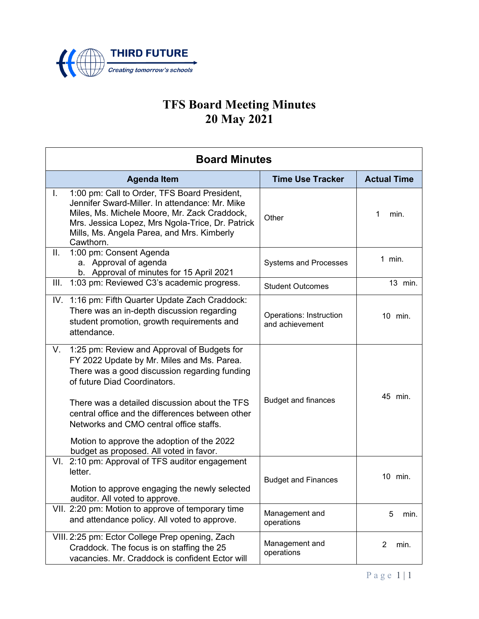

# **TFS Board Meeting Minutes 20 May 2021**

| <b>Board Minutes</b> |                                                                                                                                                                                                                                                               |                                            |                        |
|----------------------|---------------------------------------------------------------------------------------------------------------------------------------------------------------------------------------------------------------------------------------------------------------|--------------------------------------------|------------------------|
|                      | <b>Agenda Item</b>                                                                                                                                                                                                                                            | <b>Time Use Tracker</b>                    | <b>Actual Time</b>     |
| L.                   | 1:00 pm: Call to Order, TFS Board President,<br>Jennifer Sward-Miller. In attendance: Mr. Mike<br>Miles, Ms. Michele Moore, Mr. Zack Craddock,<br>Mrs. Jessica Lopez, Mrs Ngola-Trice, Dr. Patrick<br>Mills, Ms. Angela Parea, and Mrs. Kimberly<br>Cawthorn. | Other                                      | min.<br>1              |
| ΙΙ.                  | 1:00 pm: Consent Agenda<br>a. Approval of agenda<br>b. Approval of minutes for 15 April 2021                                                                                                                                                                  | <b>Systems and Processes</b>               | $1$ min.               |
| III.                 | 1:03 pm: Reviewed C3's academic progress.                                                                                                                                                                                                                     | <b>Student Outcomes</b>                    | 13 min.                |
|                      | IV. 1:16 pm: Fifth Quarter Update Zach Craddock:<br>There was an in-depth discussion regarding<br>student promotion, growth requirements and<br>attendance.                                                                                                   | Operations: Instruction<br>and achievement | 10 min.                |
| V.                   | 1:25 pm: Review and Approval of Budgets for<br>FY 2022 Update by Mr. Miles and Ms. Parea.<br>There was a good discussion regarding funding<br>of future Diad Coordinators.                                                                                    |                                            | 45 min.                |
|                      | There was a detailed discussion about the TFS<br>central office and the differences between other<br>Networks and CMO central office staffs.<br>Motion to approve the adoption of the 2022                                                                    | <b>Budget and finances</b>                 |                        |
|                      | budget as proposed. All voted in favor.<br>VI. 2:10 pm: Approval of TFS auditor engagement                                                                                                                                                                    |                                            |                        |
|                      | letter.<br>Motion to approve engaging the newly selected<br>auditor. All voted to approve.                                                                                                                                                                    | <b>Budget and Finances</b>                 | 10 min.                |
|                      | VII. 2:20 pm: Motion to approve of temporary time<br>and attendance policy. All voted to approve.                                                                                                                                                             | Management and<br>operations               | 5<br>min.              |
|                      | VIII. 2:25 pm: Ector College Prep opening, Zach<br>Craddock. The focus is on staffing the 25<br>vacancies. Mr. Craddock is confident Ector will                                                                                                               | Management and<br>operations               | $\overline{2}$<br>min. |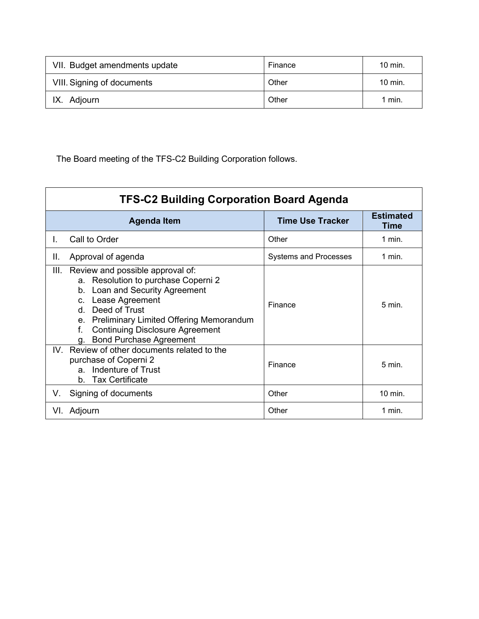| VII. Budget amendments update | Finance | $10 \text{ min}$ . |
|-------------------------------|---------|--------------------|
| VIII. Signing of documents    | Other   | $10 \text{ min}$ . |
| IX. Adjourn                   | Other   | <sup>1</sup> min.  |

The Board meeting of the TFS-C2 Building Corporation follows.

| <b>TFS-C2 Building Corporation Board Agenda</b>                                                                                                                                                                                                                                                        |                              |                   |  |  |
|--------------------------------------------------------------------------------------------------------------------------------------------------------------------------------------------------------------------------------------------------------------------------------------------------------|------------------------------|-------------------|--|--|
| <b>Time Use Tracker</b><br><b>Agenda Item</b>                                                                                                                                                                                                                                                          |                              |                   |  |  |
| Call to Order<br>L.                                                                                                                                                                                                                                                                                    | Other                        | 1 min.            |  |  |
| Ш.<br>Approval of agenda                                                                                                                                                                                                                                                                               | <b>Systems and Processes</b> | 1 min.            |  |  |
| Ш.<br>Review and possible approval of:<br>a. Resolution to purchase Coperni 2<br>b. Loan and Security Agreement<br>c. Lease Agreement<br>Deed of Trust<br>d.<br><b>Preliminary Limited Offering Memorandum</b><br>e.<br><b>Continuing Disclosure Agreement</b><br>f.<br><b>Bond Purchase Agreement</b> | Finance                      | $5 \text{ min}$   |  |  |
| Review of other documents related to the<br>IV.<br>purchase of Coperni 2<br>Indenture of Trust<br>a<br><b>Tax Certificate</b><br>b.                                                                                                                                                                    | Finance                      | $5 \text{ min}$ . |  |  |
| Signing of documents<br>V.                                                                                                                                                                                                                                                                             | Other                        | 10 min.           |  |  |
| VI. Adjourn                                                                                                                                                                                                                                                                                            | Other                        | 1 min.            |  |  |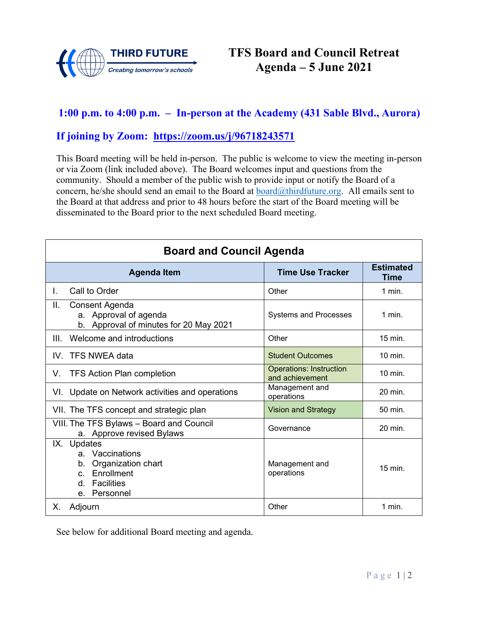

### **1:00 p.m. to 4:00 p.m. – In-person at the Academy (431 Sable Blvd., Aurora)**

#### **If joining by Zoom: <https://zoom.us/j/96718243571>**

This Board meeting will be held in-person. The public is welcome to view the meeting in-person or via Zoom (link included above). The Board welcomes input and questions from the community. Should a member of the public wish to provide input or notify the Board of a concern, he/she should send an email to the Board at  $\frac{\partial \text{chirdfuture.org}}{\partial \text{chirdfuture.org}}$ . All emails sent to the Board at that address and prior to 48 hours before the start of the Board meeting will be disseminated to the Board prior to the next scheduled Board meeting.

| <b>Board and Council Agenda</b>                                                                                      |                                                   |           |  |  |  |
|----------------------------------------------------------------------------------------------------------------------|---------------------------------------------------|-----------|--|--|--|
| <b>Agenda Item</b>                                                                                                   | <b>Time Use Tracker</b>                           |           |  |  |  |
| Call to Order<br>L.                                                                                                  | Other                                             | $1$ min.  |  |  |  |
| Ш.<br>Consent Agenda<br>a. Approval of agenda<br>b. Approval of minutes for 20 May 2021                              | <b>Systems and Processes</b>                      | $1$ min.  |  |  |  |
| Welcome and introductions<br>Ш                                                                                       | Other                                             | 15 min.   |  |  |  |
| IV. TFS NWEA data                                                                                                    | <b>Student Outcomes</b>                           | $10$ min. |  |  |  |
| <b>TFS Action Plan completion</b><br>V.                                                                              | <b>Operations: Instruction</b><br>and achievement | $10$ min. |  |  |  |
| VI. Update on Network activities and operations                                                                      | Management and<br>operations                      | 20 min.   |  |  |  |
| VII. The TFS concept and strategic plan                                                                              | <b>Vision and Strategy</b>                        | 50 min.   |  |  |  |
| VIII. The TFS Bylaws - Board and Council<br>a. Approve revised Bylaws                                                | Governance                                        | 20 min.   |  |  |  |
| IX. Updates<br>a. Vaccinations<br>b. Organization chart<br>Enrollment<br>$C_{n}$<br>Facilities<br>d.<br>e. Personnel | Management and<br>operations                      | $15$ min. |  |  |  |
| Х.<br>Adjourn                                                                                                        | Other                                             | $1$ min.  |  |  |  |

See below for additional Board meeting and agenda.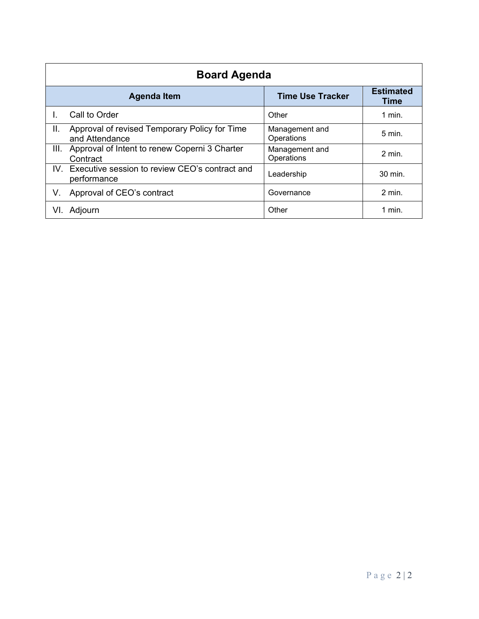|      | <b>Board Agenda</b>                                               |                              |                          |  |
|------|-------------------------------------------------------------------|------------------------------|--------------------------|--|
|      | <b>Agenda Item</b>                                                | <b>Time Use Tracker</b>      | <b>Estimated</b><br>Time |  |
|      | Call to Order                                                     | Other                        | $1$ min.                 |  |
| Ш.   | Approval of revised Temporary Policy for Time<br>and Attendance   | Management and<br>Operations | $5 \text{ min}$ .        |  |
| III. | Approval of Intent to renew Coperni 3 Charter<br>Contract         | Management and<br>Operations | $2$ min.                 |  |
|      | IV. Executive session to review CEO's contract and<br>performance | Leadership                   | 30 min.                  |  |
| V.   | Approval of CEO's contract                                        | Governance                   | $2$ min.                 |  |
| VI.  | Adjourn                                                           | Other                        | $1$ min.                 |  |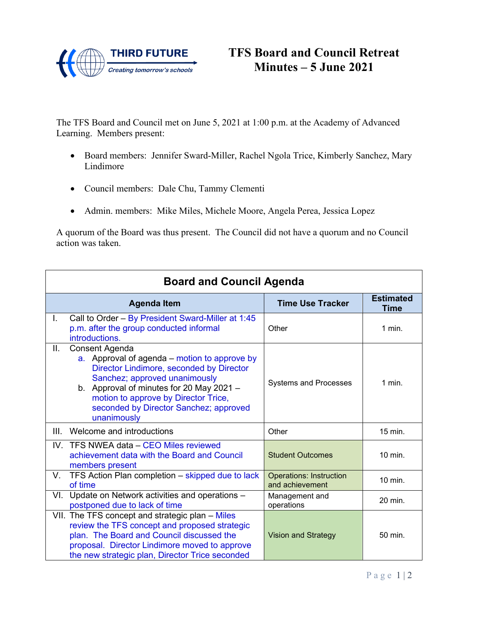

The TFS Board and Council met on June 5, 2021 at 1:00 p.m. at the Academy of Advanced Learning. Members present:

- Board members: Jennifer Sward-Miller, Rachel Ngola Trice, Kimberly Sanchez, Mary Lindimore
- Council members: Dale Chu, Tammy Clementi
- Admin. members: Mike Miles, Michele Moore, Angela Perea, Jessica Lopez

A quorum of the Board was thus present. The Council did not have a quorum and no Council action was taken.

|      | <b>Board and Council Agenda</b>                                                                                                                                                                                                                                                          |                                                   |                          |
|------|------------------------------------------------------------------------------------------------------------------------------------------------------------------------------------------------------------------------------------------------------------------------------------------|---------------------------------------------------|--------------------------|
|      | <b>Agenda Item</b>                                                                                                                                                                                                                                                                       | <b>Time Use Tracker</b>                           | <b>Estimated</b><br>Time |
| L.   | Call to Order - By President Sward-Miller at 1:45<br>p.m. after the group conducted informal<br>introductions.                                                                                                                                                                           | Other                                             | 1 min.                   |
| Ш.   | Consent Agenda<br>a. Approval of agenda – motion to approve by<br>Director Lindimore, seconded by Director<br>Sanchez; approved unanimously<br>b. Approval of minutes for 20 May 2021 -<br>motion to approve by Director Trice,<br>seconded by Director Sanchez; approved<br>unanimously | <b>Systems and Processes</b>                      | $1$ min.                 |
| III. | Welcome and introductions                                                                                                                                                                                                                                                                | Other                                             | 15 min.                  |
|      | IV. TFS NWEA data - CEO Miles reviewed<br>achievement data with the Board and Council<br>members present                                                                                                                                                                                 | <b>Student Outcomes</b>                           | 10 min.                  |
| V.   | TFS Action Plan completion - skipped due to lack<br>of time                                                                                                                                                                                                                              | <b>Operations: Instruction</b><br>and achievement | 10 min.                  |
| VI.  | Update on Network activities and operations -<br>postponed due to lack of time                                                                                                                                                                                                           | Management and<br>operations                      | 20 min.                  |
|      | VII. The TFS concept and strategic plan – Miles<br>review the TFS concept and proposed strategic<br>plan. The Board and Council discussed the<br>proposal. Director Lindimore moved to approve<br>the new strategic plan, Director Trice seconded                                        | <b>Vision and Strategy</b>                        | 50 min.                  |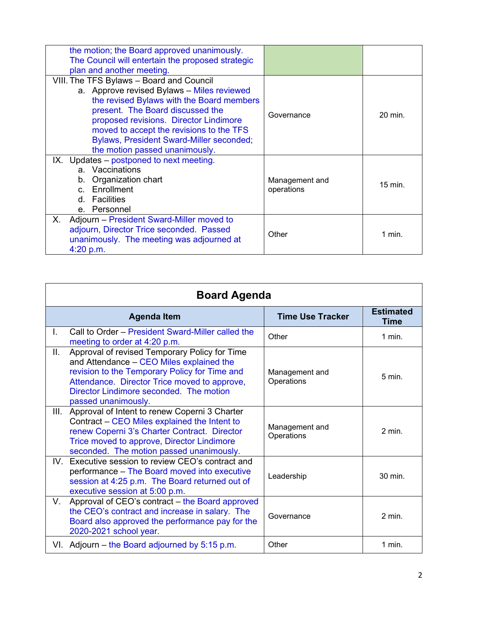| the motion; the Board approved unanimously.<br>The Council will entertain the proposed strategic<br>plan and another meeting.                                                                                                                                                                                                               |                              |         |
|---------------------------------------------------------------------------------------------------------------------------------------------------------------------------------------------------------------------------------------------------------------------------------------------------------------------------------------------|------------------------------|---------|
| VIII. The TFS Bylaws - Board and Council<br>a. Approve revised Bylaws - Miles reviewed<br>the revised Bylaws with the Board members<br>present. The Board discussed the<br>proposed revisions. Director Lindimore<br>moved to accept the revisions to the TFS<br>Bylaws, President Sward-Miller seconded;<br>the motion passed unanimously. | Governance                   | 20 min. |
| IX. Updates – postponed to next meeting.<br>a. Vaccinations<br>b. Organization chart<br>c. Enrollment<br>d. Facilities<br>e. Personnel                                                                                                                                                                                                      | Management and<br>operations | 15 min. |
| Adjourn – President Sward-Miller moved to<br>Х.<br>adjourn, Director Trice seconded. Passed<br>unanimously. The meeting was adjourned at<br>4:20 p.m.                                                                                                                                                                                       | Other                        | 1 min.  |

|      | <b>Board Agenda</b>                                                                                                                                                                                                                                          |                              |                                 |  |
|------|--------------------------------------------------------------------------------------------------------------------------------------------------------------------------------------------------------------------------------------------------------------|------------------------------|---------------------------------|--|
|      | <b>Agenda Item</b>                                                                                                                                                                                                                                           | <b>Time Use Tracker</b>      | <b>Estimated</b><br><b>Time</b> |  |
| L.   | Call to Order – President Sward-Miller called the<br>meeting to order at 4:20 p.m.                                                                                                                                                                           | Other                        | $1$ min.                        |  |
| Ш.   | Approval of revised Temporary Policy for Time<br>and Attendance - CEO Miles explained the<br>revision to the Temporary Policy for Time and<br>Attendance. Director Trice moved to approve,<br>Director Lindimore seconded. The motion<br>passed unanimously. | Management and<br>Operations | $5 \text{ min}$ .               |  |
| III. | Approval of Intent to renew Coperni 3 Charter<br>Contract – CEO Miles explained the Intent to<br>renew Coperni 3's Charter Contract. Director<br>Trice moved to approve, Director Lindimore<br>seconded. The motion passed unanimously.                      | Management and<br>Operations | $2$ min.                        |  |
|      | IV. Executive session to review CEO's contract and<br>performance – The Board moved into executive<br>session at 4:25 p.m. The Board returned out of<br>executive session at 5:00 p.m.                                                                       | Leadership                   | 30 min.                         |  |
| V.   | Approval of CEO's contract - the Board approved<br>the CEO's contract and increase in salary. The<br>Board also approved the performance pay for the<br>2020-2021 school year.                                                                               | Governance                   | $2$ min.                        |  |
|      | VI. Adjourn – the Board adjourned by 5:15 p.m.                                                                                                                                                                                                               | Other                        | $1$ min.                        |  |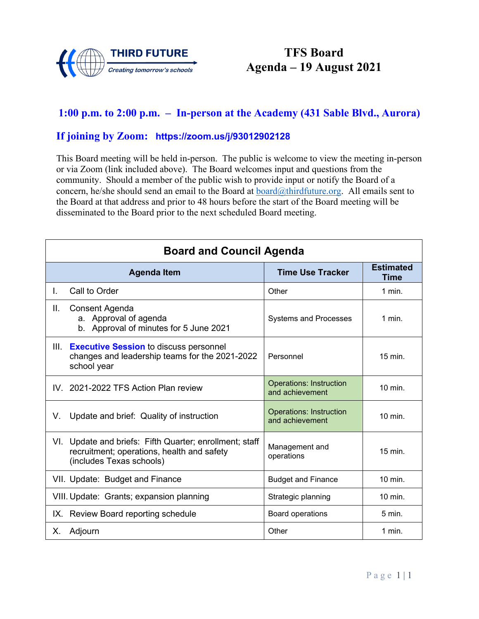

# **TFS Board Agenda – 19 August 2021**

### **1:00 p.m. to 2:00 p.m. – In-person at the Academy (431 Sable Blvd., Aurora)**

#### **If joining by Zoom: <https://zoom.us/j/93012902128>**

|    | <b>Board and Council Agenda</b>                                                                                                   |                                                   |                    |  |  |
|----|-----------------------------------------------------------------------------------------------------------------------------------|---------------------------------------------------|--------------------|--|--|
|    | <b>Time Use Tracker</b><br><b>Agenda Item</b>                                                                                     |                                                   |                    |  |  |
| L. | Call to Order                                                                                                                     | Other                                             | $1$ min.           |  |  |
| Ш. | Consent Agenda<br>a. Approval of agenda<br>b. Approval of minutes for 5 June 2021                                                 | <b>Systems and Processes</b>                      | $1$ min.           |  |  |
|    | III. Executive Session to discuss personnel<br>changes and leadership teams for the 2021-2022<br>school year                      | Personnel                                         | $15$ min.          |  |  |
|    | IV. 2021-2022 TFS Action Plan review                                                                                              | <b>Operations: Instruction</b><br>and achievement | 10 min.            |  |  |
| V. | Update and brief: Quality of instruction                                                                                          | <b>Operations: Instruction</b><br>and achievement | 10 min.            |  |  |
|    | VI. Update and briefs: Fifth Quarter; enrollment; staff<br>recruitment; operations, health and safety<br>(includes Texas schools) | Management and<br>operations                      | 15 min.            |  |  |
|    | VII. Update: Budget and Finance                                                                                                   | <b>Budget and Finance</b>                         | $10$ min.          |  |  |
|    | VIII. Update: Grants; expansion planning                                                                                          | Strategic planning                                | $10 \text{ min}$ . |  |  |
|    | IX. Review Board reporting schedule                                                                                               | Board operations                                  | $5 \text{ min}$ .  |  |  |
| X. | Adjourn                                                                                                                           | Other                                             | $1$ min.           |  |  |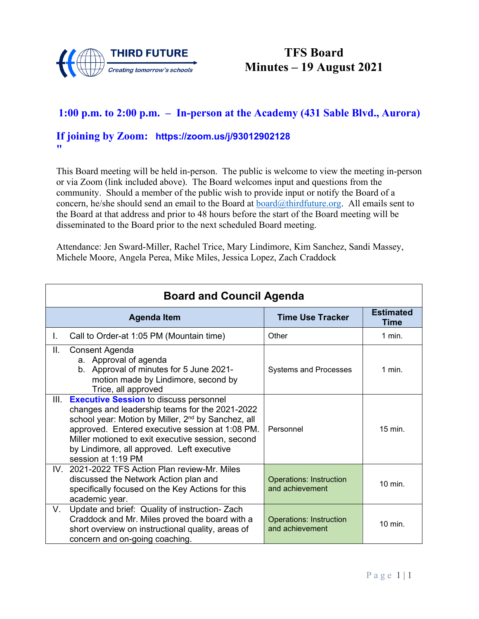

# **TFS Board Minutes – 19 August 2021**

### **1:00 p.m. to 2:00 p.m. – In-person at the Academy (431 Sable Blvd., Aurora)**

#### **If joining by Zoom: [https://zoom.us/j/93012902128](about:blank) "**

This Board meeting will be held in-person. The public is welcome to view the meeting in-person or via Zoom (link included above). The Board welcomes input and questions from the community. Should a member of the public wish to provide input or notify the Board of a concern, he/she should send an email to the Board at  $\frac{board(@thirdfuture.org)}{Bend(@thirdfuture.org)}$ . All emails sent to the Board at that address and prior to 48 hours before the start of the Board meeting will be disseminated to the Board prior to the next scheduled Board meeting.

Attendance: Jen Sward-Miller, Rachel Trice, Mary Lindimore, Kim Sanchez, Sandi Massey, Michele Moore, Angela Perea, Mike Miles, Jessica Lopez, Zach Craddock

|      | <b>Board and Council Agenda</b>                                                                                                                                                                                                                                                                                                               |                                                   |                          |  |
|------|-----------------------------------------------------------------------------------------------------------------------------------------------------------------------------------------------------------------------------------------------------------------------------------------------------------------------------------------------|---------------------------------------------------|--------------------------|--|
|      | <b>Agenda Item</b>                                                                                                                                                                                                                                                                                                                            | <b>Time Use Tracker</b>                           | <b>Estimated</b><br>Time |  |
| L.   | Call to Order-at 1:05 PM (Mountain time)                                                                                                                                                                                                                                                                                                      | Other                                             | 1 min.                   |  |
| Н.   | Consent Agenda<br>a. Approval of agenda<br>b. Approval of minutes for 5 June 2021-<br>motion made by Lindimore, second by<br>Trice, all approved                                                                                                                                                                                              | <b>Systems and Processes</b>                      | $1$ min.                 |  |
| III. | <b>Executive Session to discuss personnel</b><br>changes and leadership teams for the 2021-2022<br>school year: Motion by Miller, 2 <sup>nd</sup> by Sanchez, all<br>approved. Entered executive session at 1:08 PM.<br>Miller motioned to exit executive session, second<br>by Lindimore, all approved. Left executive<br>session at 1:19 PM | Personnel                                         | 15 min.                  |  |
|      | IV. 2021-2022 TFS Action Plan review-Mr. Miles<br>discussed the Network Action plan and<br>specifically focused on the Key Actions for this<br>academic year.                                                                                                                                                                                 | <b>Operations: Instruction</b><br>and achievement | 10 min.                  |  |
| V.   | Update and brief: Quality of instruction-Zach<br>Craddock and Mr. Miles proved the board with a<br>short overview on instructional quality, areas of<br>concern and on-going coaching.                                                                                                                                                        | <b>Operations: Instruction</b><br>and achievement | 10 min.                  |  |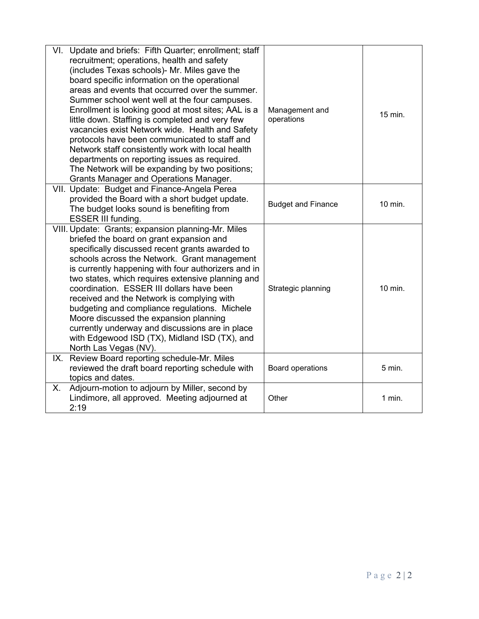| Update and briefs: Fifth Quarter; enrollment; staff<br>VI.<br>recruitment; operations, health and safety<br>(includes Texas schools)- Mr. Miles gave the<br>board specific information on the operational<br>areas and events that occurred over the summer.<br>Summer school went well at the four campuses.<br>Enrollment is looking good at most sites; AAL is a<br>little down. Staffing is completed and very few<br>vacancies exist Network wide. Health and Safety<br>protocols have been communicated to staff and<br>Network staff consistently work with local health<br>departments on reporting issues as required.<br>The Network will be expanding by two positions;<br><b>Grants Manager and Operations Manager.</b> | Management and<br>operations | 15 min.  |
|-------------------------------------------------------------------------------------------------------------------------------------------------------------------------------------------------------------------------------------------------------------------------------------------------------------------------------------------------------------------------------------------------------------------------------------------------------------------------------------------------------------------------------------------------------------------------------------------------------------------------------------------------------------------------------------------------------------------------------------|------------------------------|----------|
| VII. Update: Budget and Finance-Angela Perea<br>provided the Board with a short budget update.<br>The budget looks sound is benefiting from<br>ESSER III funding.                                                                                                                                                                                                                                                                                                                                                                                                                                                                                                                                                                   | <b>Budget and Finance</b>    | 10 min.  |
| VIII. Update: Grants; expansion planning-Mr. Miles<br>briefed the board on grant expansion and<br>specifically discussed recent grants awarded to<br>schools across the Network. Grant management<br>is currently happening with four authorizers and in<br>two states, which requires extensive planning and<br>coordination. ESSER III dollars have been<br>received and the Network is complying with<br>budgeting and compliance regulations. Michele<br>Moore discussed the expansion planning<br>currently underway and discussions are in place<br>with Edgewood ISD (TX), Midland ISD (TX), and<br>North Las Vegas (NV).                                                                                                    | Strategic planning           | 10 min.  |
| IX. Review Board reporting schedule-Mr. Miles<br>reviewed the draft board reporting schedule with<br>topics and dates.                                                                                                                                                                                                                                                                                                                                                                                                                                                                                                                                                                                                              | Board operations             | 5 min.   |
| Adjourn-motion to adjourn by Miller, second by<br>Х.<br>Lindimore, all approved. Meeting adjourned at<br>2:19                                                                                                                                                                                                                                                                                                                                                                                                                                                                                                                                                                                                                       | Other                        | $1$ min. |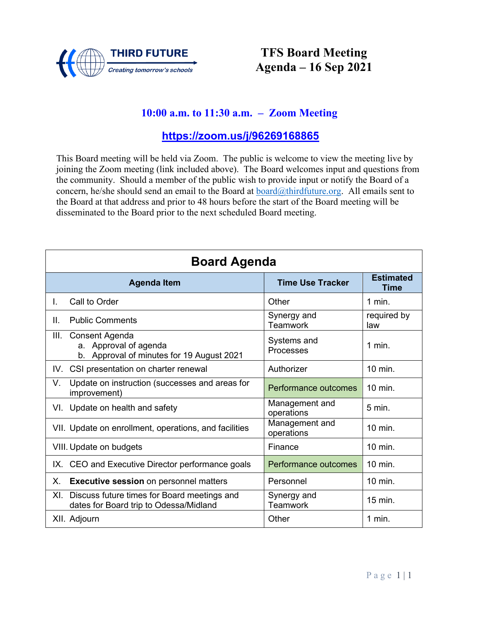

## **TFS Board Meeting Agenda – 16 Sep 2021**

### **10:00 a.m. to 11:30 a.m. – Zoom Meeting**

### **<https://zoom.us/j/96269168865>**

| <b>Board Agenda</b>                                                                          |                                |                    |  |  |
|----------------------------------------------------------------------------------------------|--------------------------------|--------------------|--|--|
| <b>Estimated</b><br><b>Time Use Tracker</b><br><b>Agenda Item</b>                            |                                |                    |  |  |
| Call to Order<br>L.                                                                          | Other                          | $1$ min.           |  |  |
| <b>Public Comments</b><br>Н.                                                                 | Synergy and<br><b>Teamwork</b> | required by<br>law |  |  |
| III.<br>Consent Agenda<br>a. Approval of agenda<br>b. Approval of minutes for 19 August 2021 | Systems and<br>Processes       | $1$ min.           |  |  |
| CSI presentation on charter renewal<br>IV.                                                   | Authorizer                     | 10 min.            |  |  |
| Update on instruction (successes and areas for<br>V.<br>improvement)                         | Performance outcomes           | $10$ min.          |  |  |
| VI. Update on health and safety                                                              | Management and<br>operations   | 5 min.             |  |  |
| VII. Update on enrollment, operations, and facilities                                        | Management and<br>operations   | 10 min.            |  |  |
| VIII. Update on budgets                                                                      | Finance                        | $10$ min.          |  |  |
| CEO and Executive Director performance goals<br>IX.                                          | Performance outcomes           | 10 min.            |  |  |
| Х.<br><b>Executive session</b> on personnel matters                                          | Personnel                      | 10 min.            |  |  |
| Discuss future times for Board meetings and<br>XI.<br>dates for Board trip to Odessa/Midland | Synergy and<br><b>Teamwork</b> | $15$ min.          |  |  |
| XII. Adjourn                                                                                 | Other                          | $1$ min.           |  |  |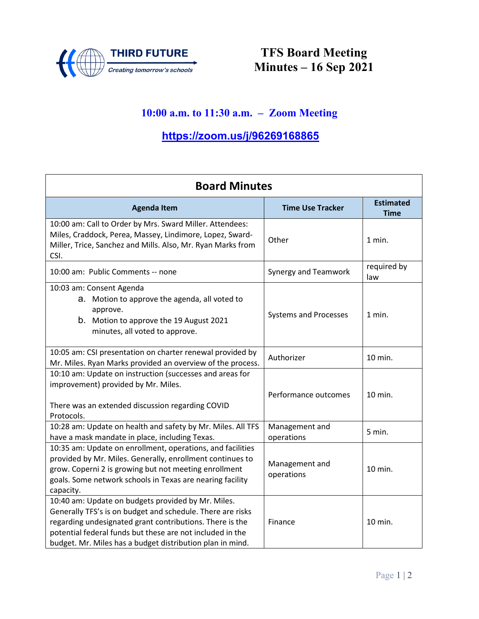

**TFS Board Meeting Minutes – 16 Sep 2021**

# **10:00 a.m. to 11:30 a.m. – Zoom Meeting**

# **[https://zoom.us/j/96269168865](about:blank)**

| <b>Board Minutes</b>                                                                                                                                                                                                                                                                                   |                              |                                 |
|--------------------------------------------------------------------------------------------------------------------------------------------------------------------------------------------------------------------------------------------------------------------------------------------------------|------------------------------|---------------------------------|
| <b>Agenda Item</b>                                                                                                                                                                                                                                                                                     | <b>Time Use Tracker</b>      | <b>Estimated</b><br><b>Time</b> |
| 10:00 am: Call to Order by Mrs. Sward Miller. Attendees:<br>Miles, Craddock, Perea, Massey, Lindimore, Lopez, Sward-<br>Miller, Trice, Sanchez and Mills. Also, Mr. Ryan Marks from<br>CSI.                                                                                                            | Other                        | 1 min.                          |
| 10:00 am: Public Comments -- none                                                                                                                                                                                                                                                                      | Synergy and Teamwork         | required by<br>law              |
| 10:03 am: Consent Agenda<br>a. Motion to approve the agenda, all voted to<br>approve.<br>b. Motion to approve the 19 August 2021<br>minutes, all voted to approve.                                                                                                                                     | <b>Systems and Processes</b> | 1 min.                          |
| 10:05 am: CSI presentation on charter renewal provided by<br>Mr. Miles. Ryan Marks provided an overview of the process.                                                                                                                                                                                | Authorizer                   | 10 min.                         |
| 10:10 am: Update on instruction (successes and areas for<br>improvement) provided by Mr. Miles.<br>There was an extended discussion regarding COVID<br>Protocols.                                                                                                                                      | Performance outcomes         | 10 min.                         |
| 10:28 am: Update on health and safety by Mr. Miles. All TFS<br>have a mask mandate in place, including Texas.                                                                                                                                                                                          | Management and<br>operations | 5 min.                          |
| 10:35 am: Update on enrollment, operations, and facilities<br>provided by Mr. Miles. Generally, enrollment continues to<br>grow. Coperni 2 is growing but not meeting enrollment<br>goals. Some network schools in Texas are nearing facility<br>capacity.                                             | Management and<br>operations | 10 min.                         |
| 10:40 am: Update on budgets provided by Mr. Miles.<br>Generally TFS's is on budget and schedule. There are risks<br>regarding undesignated grant contributions. There is the<br>potential federal funds but these are not included in the<br>budget. Mr. Miles has a budget distribution plan in mind. | Finance                      | 10 min.                         |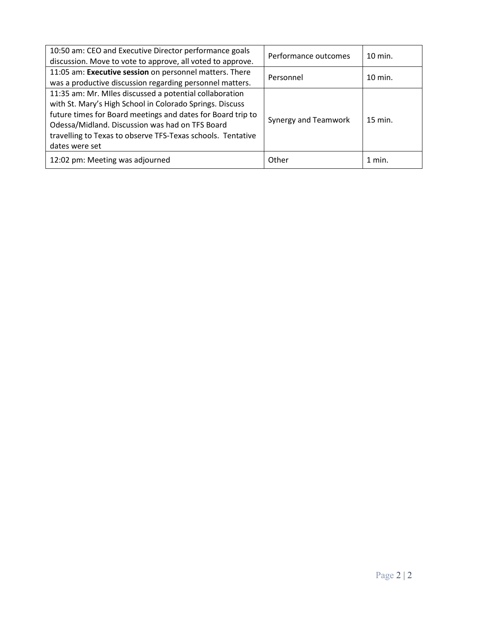| 10:50 am: CEO and Executive Director performance goals<br>discussion. Move to vote to approve, all voted to approve.                                                                                                                                                                                                   | Performance outcomes | $10$ min. |
|------------------------------------------------------------------------------------------------------------------------------------------------------------------------------------------------------------------------------------------------------------------------------------------------------------------------|----------------------|-----------|
| 11:05 am: Executive session on personnel matters. There<br>was a productive discussion regarding personnel matters.                                                                                                                                                                                                    | Personnel            | $10$ min. |
| 11:35 am: Mr. Miles discussed a potential collaboration<br>with St. Mary's High School in Colorado Springs. Discuss<br>future times for Board meetings and dates for Board trip to<br>Odessa/Midland. Discussion was had on TFS Board<br>travelling to Texas to observe TFS-Texas schools. Tentative<br>dates were set | Synergy and Teamwork | 15 min.   |
| 12:02 pm: Meeting was adjourned                                                                                                                                                                                                                                                                                        | Other                | $1$ min.  |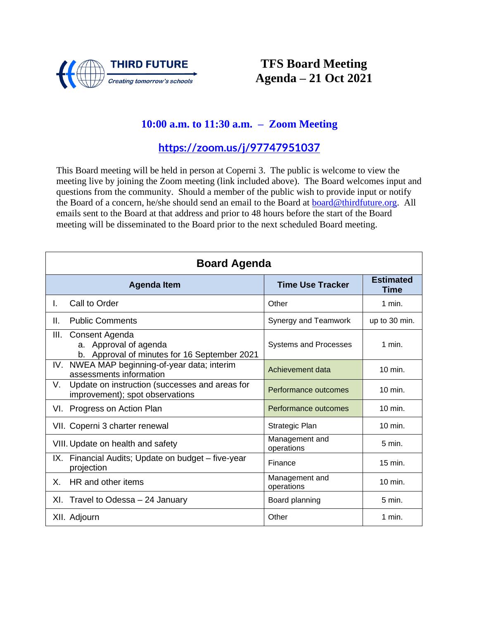

## **TFS Board Meeting Agenda – 21 Oct 2021**

### **10:00 a.m. to 11:30 a.m. – Zoom Meeting**

**<https://zoom.us/j/97747951037>**

| <b>Board Agenda</b> |                                                                                         |                                 |               |
|---------------------|-----------------------------------------------------------------------------------------|---------------------------------|---------------|
|                     | <b>Time Use Tracker</b>                                                                 | <b>Estimated</b><br><b>Time</b> |               |
| L.                  | Call to Order                                                                           | Other                           | $1$ min.      |
| Ш.                  | <b>Public Comments</b>                                                                  | Synergy and Teamwork            | up to 30 min. |
| III.                | Consent Agenda<br>a. Approval of agenda<br>b. Approval of minutes for 16 September 2021 | <b>Systems and Processes</b>    | $1$ min.      |
| IV.                 | NWEA MAP beginning-of-year data; interim<br>assessments information                     | Achievement data                | $10$ min.     |
| V.                  | Update on instruction (successes and areas for<br>improvement); spot observations       | Performance outcomes            | $10$ min.     |
| VI.                 | Progress on Action Plan                                                                 | Performance outcomes            | 10 min.       |
|                     | VII. Coperni 3 charter renewal                                                          | Strategic Plan                  | 10 min.       |
|                     | VIII. Update on health and safety                                                       | Management and<br>operations    | 5 min.        |
|                     | IX. Financial Audits; Update on budget - five-year<br>projection                        | Finance                         | 15 min.       |
| Χ.                  | HR and other items                                                                      | Management and<br>operations    | $10$ min.     |
| XI.                 | Travel to Odessa - 24 January                                                           | Board planning                  | 5 min.        |
|                     | XII. Adjourn                                                                            | Other                           | 1 min.        |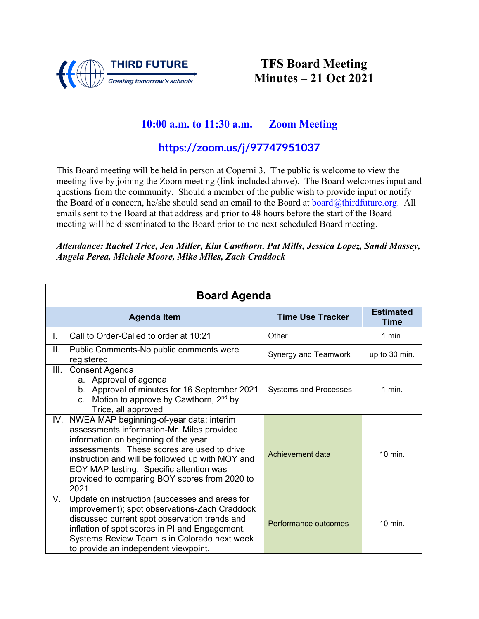

## **TFS Board Meeting Minutes – 21 Oct 2021**

### **10:00 a.m. to 11:30 a.m. – Zoom Meeting**

**<https://zoom.us/j/97747951037>**

This Board meeting will be held in person at Coperni 3. The public is welcome to view the meeting live by joining the Zoom meeting (link included above). The Board welcomes input and questions from the community. Should a member of the public wish to provide input or notify the Board of a concern, he/she should send an email to the Board at board $\omega$ thirdfuture.org. All emails sent to the Board at that address and prior to 48 hours before the start of the Board meeting will be disseminated to the Board prior to the next scheduled Board meeting.

*Attendance: Rachel Trice, Jen Miller, Kim Cawthorn, Pat Mills, Jessica Lopez, Sandi Massey, Angela Perea, Michele Moore, Mike Miles, Zach Craddock*

| <b>Board Agenda</b> |                                                                                                                                                                                                                                                                                                                                            |                              |                          |
|---------------------|--------------------------------------------------------------------------------------------------------------------------------------------------------------------------------------------------------------------------------------------------------------------------------------------------------------------------------------------|------------------------------|--------------------------|
|                     | <b>Agenda Item</b>                                                                                                                                                                                                                                                                                                                         | <b>Time Use Tracker</b>      | <b>Estimated</b><br>Time |
| L.                  | Call to Order-Called to order at 10:21                                                                                                                                                                                                                                                                                                     | Other                        | $1$ min.                 |
| Ш.                  | Public Comments-No public comments were<br>registered                                                                                                                                                                                                                                                                                      | Synergy and Teamwork         | up to 30 min.            |
| III.                | Consent Agenda<br>a. Approval of agenda<br>b. Approval of minutes for 16 September 2021<br>Motion to approve by Cawthorn, 2 <sup>nd</sup> by<br>C <sub>1</sub><br>Trice, all approved                                                                                                                                                      | <b>Systems and Processes</b> | 1 min.                   |
|                     | IV. NWEA MAP beginning-of-year data; interim<br>assessments information-Mr. Miles provided<br>information on beginning of the year<br>assessments. These scores are used to drive<br>instruction and will be followed up with MOY and<br>EOY MAP testing. Specific attention was<br>provided to comparing BOY scores from 2020 to<br>2021. | Achievement data             | $10$ min.                |
| V.                  | Update on instruction (successes and areas for<br>improvement); spot observations-Zach Craddock<br>discussed current spot observation trends and<br>inflation of spot scores in PI and Engagement.<br>Systems Review Team is in Colorado next week<br>to provide an independent viewpoint.                                                 | Performance outcomes         | 10 min.                  |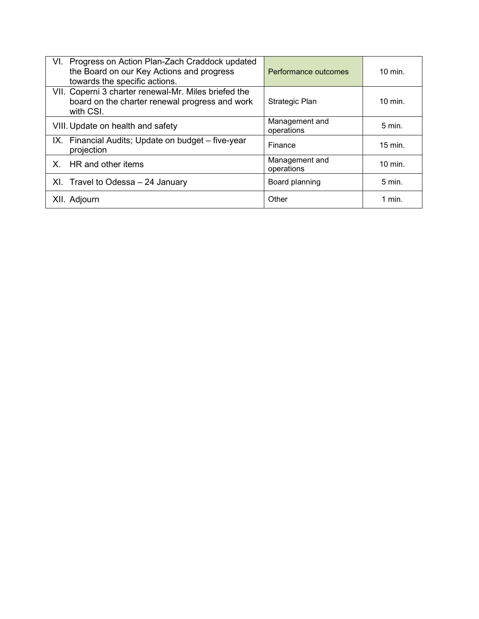| VI. Progress on Action Plan-Zach Craddock updated<br>the Board on our Key Actions and progress<br>towards the specific actions. | Performance outcomes         | $10 \text{ min}$ . |
|---------------------------------------------------------------------------------------------------------------------------------|------------------------------|--------------------|
| VII. Coperni 3 charter renewal-Mr. Miles briefed the<br>board on the charter renewal progress and work<br>with CSI.             | Strategic Plan               | $10 \text{ min}$ . |
| VIII. Update on health and safety                                                                                               | Management and<br>operations | $5 \text{ min}$ .  |
| IX. Financial Audits; Update on budget – five-year<br>projection                                                                | Finance                      | $15$ min.          |
| HR and other items<br>X.                                                                                                        | Management and<br>operations | $10 \text{ min}$ . |
| XI. Travel to Odessa - 24 January                                                                                               | Board planning               | $5 \text{ min}$ .  |
| XII. Adjourn                                                                                                                    | Other                        | 1 min.             |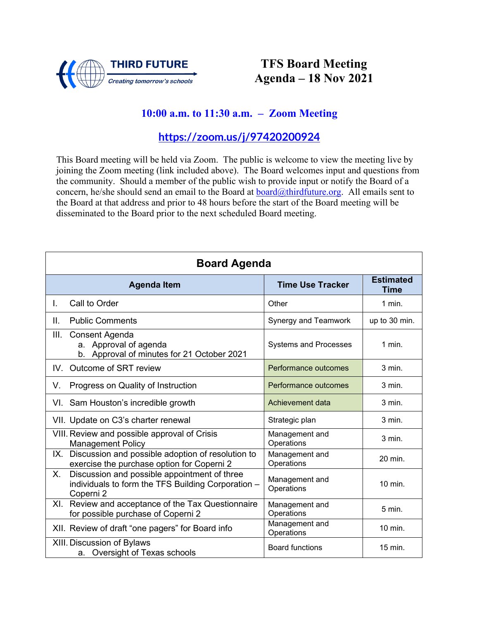

## **TFS Board Meeting Agenda – 18 Nov 2021**

# **10:00 a.m. to 11:30 a.m. – Zoom Meeting**

### **<https://zoom.us/j/97420200924>**

| <b>Board Agenda</b>                                                                                                   |                              |                   |  |  |
|-----------------------------------------------------------------------------------------------------------------------|------------------------------|-------------------|--|--|
| <b>Time Use Tracker</b><br><b>Agenda Item</b>                                                                         |                              |                   |  |  |
| Call to Order<br>L.                                                                                                   | Other                        | $1$ min.          |  |  |
| Π.<br><b>Public Comments</b>                                                                                          | Synergy and Teamwork         | up to 30 min.     |  |  |
| III.<br>Consent Agenda<br>a. Approval of agenda<br>b. Approval of minutes for 21 October 2021                         | <b>Systems and Processes</b> | $1$ min.          |  |  |
| Outcome of SRT review<br>IV.                                                                                          | Performance outcomes         | $3$ min.          |  |  |
| Progress on Quality of Instruction<br>V.                                                                              | Performance outcomes         | $3$ min.          |  |  |
| VI. Sam Houston's incredible growth                                                                                   | Achievement data             | $3$ min.          |  |  |
| VII. Update on C3's charter renewal                                                                                   | Strategic plan               | $3$ min.          |  |  |
| VIII. Review and possible approval of Crisis<br><b>Management Policy</b>                                              | Management and<br>Operations | $3$ min.          |  |  |
| Discussion and possible adoption of resolution to<br>IX.<br>exercise the purchase option for Coperni 2                | Management and<br>Operations | 20 min.           |  |  |
| Discussion and possible appointment of three<br>Х.<br>individuals to form the TFS Building Corporation -<br>Coperni 2 | Management and<br>Operations | 10 min.           |  |  |
| Review and acceptance of the Tax Questionnaire<br>XI.<br>for possible purchase of Coperni 2                           | Management and<br>Operations | $5 \text{ min}$ . |  |  |
| XII. Review of draft "one pagers" for Board info                                                                      | Management and<br>Operations | 10 min.           |  |  |
| XIII. Discussion of Bylaws<br>a. Oversight of Texas schools                                                           | <b>Board functions</b>       | 15 min.           |  |  |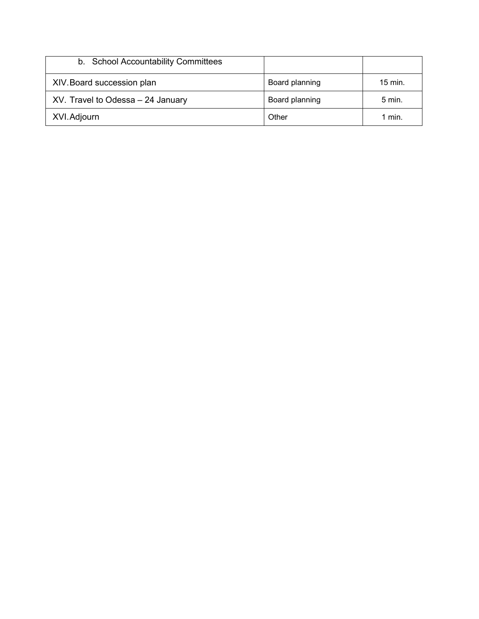| b. School Accountability Committees |                |                    |
|-------------------------------------|----------------|--------------------|
| XIV. Board succession plan          | Board planning | $15 \text{ min}$ . |
| XV. Travel to Odessa - 24 January   | Board planning | 5 min.             |
| XVI. Adjourn                        | Other          | 1 min.             |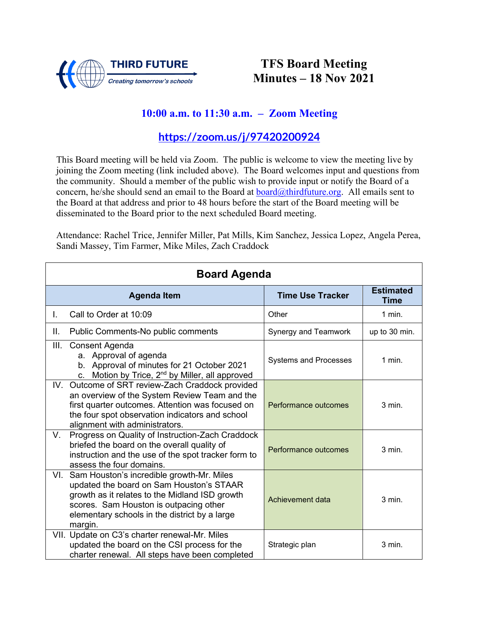

## **TFS Board Meeting Minutes – 18 Nov 2021**

### **10:00 a.m. to 11:30 a.m. – Zoom Meeting**

### **<https://zoom.us/j/97420200924>**

This Board meeting will be held via Zoom. The public is welcome to view the meeting live by joining the Zoom meeting (link included above). The Board welcomes input and questions from the community. Should a member of the public wish to provide input or notify the Board of a concern, he/she should send an email to the Board at [board@thirdfuture.org.](mailto:board@thirdfuture.org) All emails sent to the Board at that address and prior to 48 hours before the start of the Board meeting will be disseminated to the Board prior to the next scheduled Board meeting.

Attendance: Rachel Trice, Jennifer Miller, Pat Mills, Kim Sanchez, Jessica Lopez, Angela Perea, Sandi Massey, Tim Farmer, Mike Miles, Zach Craddock

| <b>Board Agenda</b> |                                                                                                                                                                                                                                                   |                              |                          |
|---------------------|---------------------------------------------------------------------------------------------------------------------------------------------------------------------------------------------------------------------------------------------------|------------------------------|--------------------------|
|                     | <b>Agenda Item</b>                                                                                                                                                                                                                                | <b>Time Use Tracker</b>      | <b>Estimated</b><br>Time |
| L.                  | Call to Order at 10:09                                                                                                                                                                                                                            | Other                        | 1 min.                   |
| Ш.                  | Public Comments-No public comments                                                                                                                                                                                                                | Synergy and Teamwork         | up to 30 min.            |
| III.                | Consent Agenda<br>a. Approval of agenda<br>b. Approval of minutes for 21 October 2021<br>Motion by Trice, 2 <sup>nd</sup> by Miller, all approved<br>C.                                                                                           | <b>Systems and Processes</b> | 1 min.                   |
|                     | IV. Outcome of SRT review-Zach Craddock provided<br>an overview of the System Review Team and the<br>first quarter outcomes. Attention was focused on<br>the four spot observation indicators and school<br>alignment with administrators.        | Performance outcomes         | $3$ min.                 |
| V.                  | Progress on Quality of Instruction-Zach Craddock<br>briefed the board on the overall quality of<br>instruction and the use of the spot tracker form to<br>assess the four domains.                                                                | Performance outcomes         | $3$ min.                 |
|                     | VI. Sam Houston's incredible growth-Mr. Miles<br>updated the board on Sam Houston's STAAR<br>growth as it relates to the Midland ISD growth<br>scores. Sam Houston is outpacing other<br>elementary schools in the district by a large<br>margin. | Achievement data             | 3 min.                   |
|                     | VII. Update on C3's charter renewal-Mr. Miles<br>updated the board on the CSI process for the<br>charter renewal. All steps have been completed                                                                                                   | Strategic plan               | $3$ min.                 |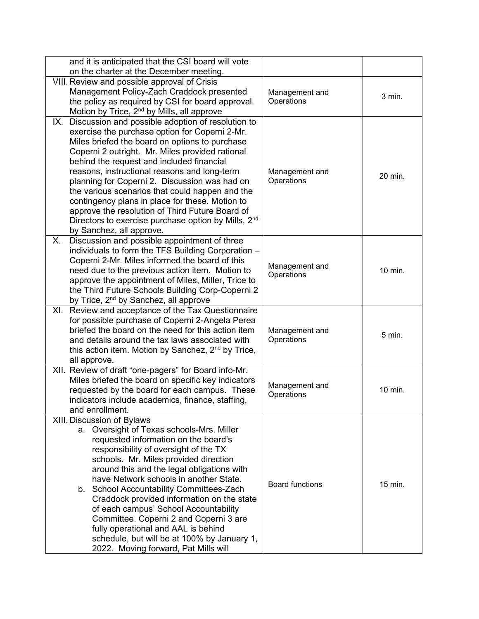| and it is anticipated that the CSI board will vote                                                          |                              |         |
|-------------------------------------------------------------------------------------------------------------|------------------------------|---------|
| on the charter at the December meeting.                                                                     |                              |         |
| VIII. Review and possible approval of Crisis                                                                |                              |         |
| Management Policy-Zach Craddock presented                                                                   | Management and<br>Operations | 3 min.  |
| the policy as required by CSI for board approval.<br>Motion by Trice, 2 <sup>nd</sup> by Mills, all approve |                              |         |
| IX. Discussion and possible adoption of resolution to                                                       |                              |         |
| exercise the purchase option for Coperni 2-Mr.                                                              |                              |         |
| Miles briefed the board on options to purchase                                                              |                              |         |
| Coperni 2 outright. Mr. Miles provided rational                                                             |                              |         |
| behind the request and included financial                                                                   |                              |         |
| reasons, instructional reasons and long-term                                                                | Management and               | 20 min. |
| planning for Coperni 2. Discussion was had on                                                               | Operations                   |         |
| the various scenarios that could happen and the                                                             |                              |         |
| contingency plans in place for these. Motion to                                                             |                              |         |
| approve the resolution of Third Future Board of                                                             |                              |         |
| Directors to exercise purchase option by Mills, 2 <sup>nd</sup><br>by Sanchez, all approve.                 |                              |         |
| Discussion and possible appointment of three<br>Х.                                                          |                              |         |
| individuals to form the TFS Building Corporation -                                                          |                              |         |
| Coperni 2-Mr. Miles informed the board of this                                                              |                              |         |
| need due to the previous action item. Motion to                                                             | Management and<br>Operations | 10 min. |
| approve the appointment of Miles, Miller, Trice to                                                          |                              |         |
| the Third Future Schools Building Corp-Coperni 2                                                            |                              |         |
| by Trice, 2 <sup>nd</sup> by Sanchez, all approve                                                           |                              |         |
| XI. Review and acceptance of the Tax Questionnaire                                                          |                              |         |
| for possible purchase of Coperni 2-Angela Perea<br>briefed the board on the need for this action item       |                              |         |
| and details around the tax laws associated with                                                             | Management and<br>Operations | 5 min.  |
| this action item. Motion by Sanchez, $2nd$ by Trice,                                                        |                              |         |
| all approve.                                                                                                |                              |         |
| XII. Review of draft "one-pagers" for Board info-Mr.                                                        |                              |         |
| Miles briefed the board on specific key indicators                                                          | Management and               |         |
| requested by the board for each campus. These                                                               | Operations                   | 10 min. |
| indicators include academics, finance, staffing,                                                            |                              |         |
| and enrollment.                                                                                             |                              |         |
| XIII. Discussion of Bylaws<br>a. Oversight of Texas schools-Mrs. Miller                                     |                              |         |
| requested information on the board's                                                                        |                              |         |
| responsibility of oversight of the TX                                                                       |                              |         |
| schools. Mr. Miles provided direction                                                                       |                              |         |
| around this and the legal obligations with                                                                  |                              |         |
| have Network schools in another State.                                                                      | <b>Board functions</b>       | 15 min. |
| b. School Accountability Committees-Zach                                                                    |                              |         |
| Craddock provided information on the state                                                                  |                              |         |
| of each campus' School Accountability                                                                       |                              |         |
| Committee. Coperni 2 and Coperni 3 are<br>fully operational and AAL is behind                               |                              |         |
| schedule, but will be at 100% by January 1,                                                                 |                              |         |
| 2022. Moving forward, Pat Mills will                                                                        |                              |         |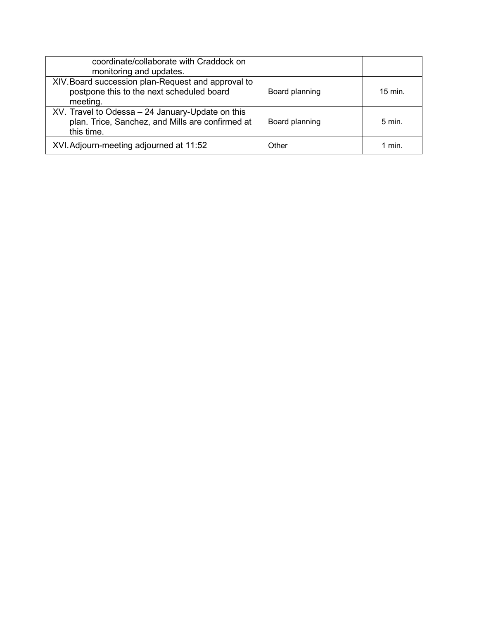| coordinate/collaborate with Craddock on<br>monitoring and updates.                                                 |                |                    |
|--------------------------------------------------------------------------------------------------------------------|----------------|--------------------|
| XIV. Board succession plan-Request and approval to<br>postpone this to the next scheduled board<br>meeting.        | Board planning | $15 \text{ min}$ . |
| XV. Travel to Odessa - 24 January-Update on this<br>plan. Trice, Sanchez, and Mills are confirmed at<br>this time. | Board planning | $5 \text{ min}$ .  |
| XVI. Adjourn-meeting adjourned at 11:52                                                                            | Other          | 1 min.             |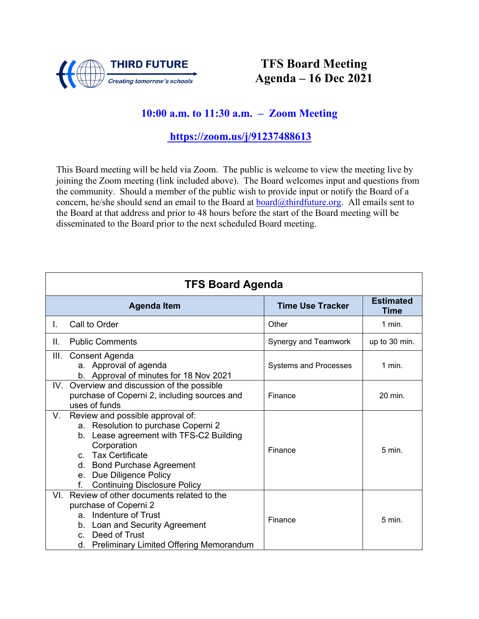

# **TFS Board Meeting Agenda – 16 Dec 2021**

### **10:00 a.m. to 11:30 a.m. – Zoom Meeting**

**<https://zoom.us/j/91237488613>**

| <b>TFS Board Agenda</b> |                                                                                                                                                                                                                                                                             |                              |                                 |
|-------------------------|-----------------------------------------------------------------------------------------------------------------------------------------------------------------------------------------------------------------------------------------------------------------------------|------------------------------|---------------------------------|
|                         | <b>Agenda Item</b>                                                                                                                                                                                                                                                          | <b>Time Use Tracker</b>      | <b>Estimated</b><br><b>Time</b> |
| L.                      | Call to Order                                                                                                                                                                                                                                                               | Other                        | $1$ min.                        |
| Ш.                      | <b>Public Comments</b>                                                                                                                                                                                                                                                      | Synergy and Teamwork         | up to 30 min.                   |
| III.                    | Consent Agenda<br>a. Approval of agenda<br>b. Approval of minutes for 18 Nov 2021                                                                                                                                                                                           | <b>Systems and Processes</b> | $1$ min.                        |
|                         | IV. Overview and discussion of the possible<br>purchase of Coperni 2, including sources and<br>uses of funds                                                                                                                                                                | Finance                      | 20 min.                         |
| V.                      | Review and possible approval of:<br>a. Resolution to purchase Coperni 2<br>b. Lease agreement with TFS-C2 Building<br>Corporation<br><b>Tax Certificate</b><br>$\mathbf{C}$<br>d. Bond Purchase Agreement<br>e. Due Diligence Policy<br><b>Continuing Disclosure Policy</b> | Finance                      | $5 \text{ min}$ .               |
| VI.                     | Review of other documents related to the<br>purchase of Coperni 2<br>a. Indenture of Trust<br>b. Loan and Security Agreement<br>Deed of Trust<br>$C_{n}$<br>d. Preliminary Limited Offering Memorandum                                                                      | Finance                      | $5 \text{ min}$ .               |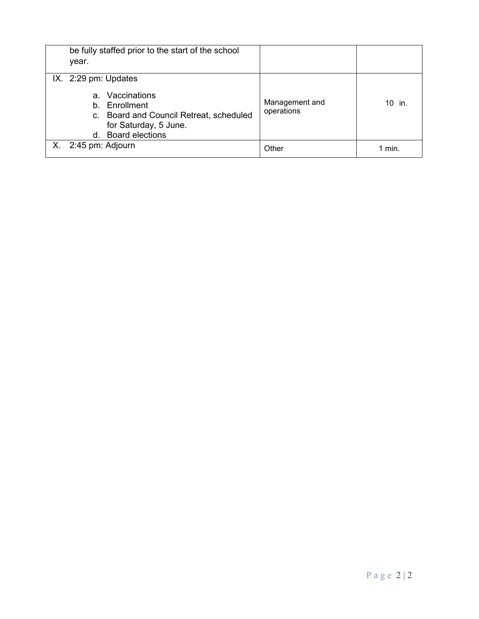| be fully staffed prior to the start of the school<br>year.                                                                                                           |                              |          |
|----------------------------------------------------------------------------------------------------------------------------------------------------------------------|------------------------------|----------|
| IX. 2:29 pm: Updates<br>Vaccinations<br>$a_{-}$<br>b. Enrollment<br>c. Board and Council Retreat, scheduled<br>for Saturday, 5 June.<br><b>Board elections</b><br>d. | Management and<br>operations | $10$ in. |
| $X.$ 2:45 pm: Adjourn                                                                                                                                                | Other                        | 1 min.   |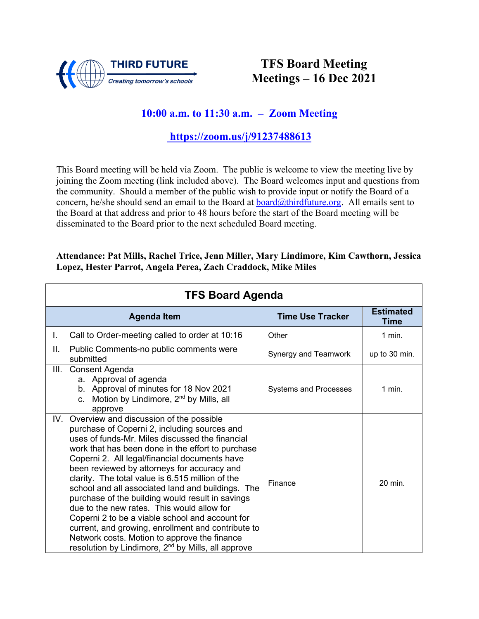

## **TFS Board Meeting Meetings – 16 Dec 2021**

### **10:00 a.m. to 11:30 a.m. – Zoom Meeting**

#### **<https://zoom.us/j/91237488613>**

This Board meeting will be held via Zoom. The public is welcome to view the meeting live by joining the Zoom meeting (link included above). The Board welcomes input and questions from the community. Should a member of the public wish to provide input or notify the Board of a concern, he/she should send an email to the Board at **board@thirdfuture.org**. All emails sent to the Board at that address and prior to 48 hours before the start of the Board meeting will be disseminated to the Board prior to the next scheduled Board meeting.

#### **Attendance: Pat Mills, Rachel Trice, Jenn Miller, Mary Lindimore, Kim Cawthorn, Jessica Lopez, Hester Parrot, Angela Perea, Zach Craddock, Mike Miles**

| <b>TFS Board Agenda</b> |                                                                                                                                                                                                                                                                                                                                                                                                                                                                                                                                                                                                                                                                                                                                           |                              |                          |
|-------------------------|-------------------------------------------------------------------------------------------------------------------------------------------------------------------------------------------------------------------------------------------------------------------------------------------------------------------------------------------------------------------------------------------------------------------------------------------------------------------------------------------------------------------------------------------------------------------------------------------------------------------------------------------------------------------------------------------------------------------------------------------|------------------------------|--------------------------|
|                         | <b>Agenda Item</b>                                                                                                                                                                                                                                                                                                                                                                                                                                                                                                                                                                                                                                                                                                                        | <b>Time Use Tracker</b>      | <b>Estimated</b><br>Time |
| L.                      | Call to Order-meeting called to order at 10:16                                                                                                                                                                                                                                                                                                                                                                                                                                                                                                                                                                                                                                                                                            | Other                        | $1$ min.                 |
| Ш.                      | Public Comments-no public comments were<br>submitted                                                                                                                                                                                                                                                                                                                                                                                                                                                                                                                                                                                                                                                                                      | Synergy and Teamwork         | up to 30 min.            |
| III.                    | Consent Agenda<br>a. Approval of agenda<br>b. Approval of minutes for 18 Nov 2021<br>c. Motion by Lindimore, $2^{nd}$ by Mills, all<br>approve                                                                                                                                                                                                                                                                                                                                                                                                                                                                                                                                                                                            | <b>Systems and Processes</b> | $1$ min.                 |
|                         | IV. Overview and discussion of the possible<br>purchase of Coperni 2, including sources and<br>uses of funds-Mr. Miles discussed the financial<br>work that has been done in the effort to purchase<br>Coperni 2. All legal/financial documents have<br>been reviewed by attorneys for accuracy and<br>clarity. The total value is 6.515 million of the<br>school and all associated land and buildings. The<br>purchase of the building would result in savings<br>due to the new rates. This would allow for<br>Coperni 2 to be a viable school and account for<br>current, and growing, enrollment and contribute to<br>Network costs. Motion to approve the finance<br>resolution by Lindimore, 2 <sup>nd</sup> by Mills, all approve | Finance                      | 20 min.                  |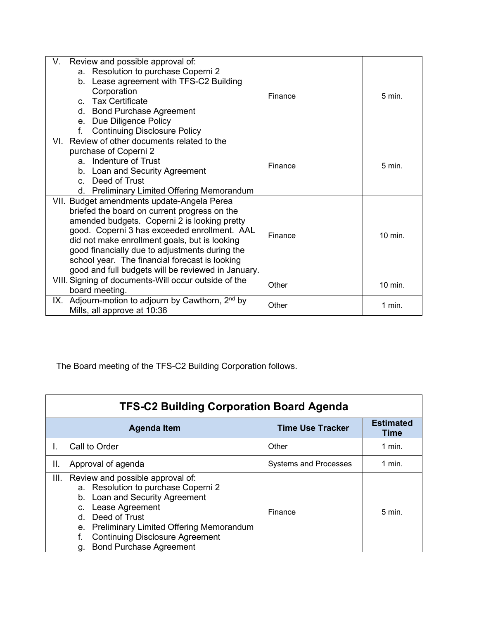| Review and possible approval of:<br>V.<br>a. Resolution to purchase Coperni 2<br>b. Lease agreement with TFS-C2 Building<br>Corporation<br>c. Tax Certificate<br>d. Bond Purchase Agreement<br>e. Due Diligence Policy<br>f.<br><b>Continuing Disclosure Policy</b>                                                                                                                                   | Finance | $5 \text{ min}$ . |
|-------------------------------------------------------------------------------------------------------------------------------------------------------------------------------------------------------------------------------------------------------------------------------------------------------------------------------------------------------------------------------------------------------|---------|-------------------|
| VI. Review of other documents related to the<br>purchase of Coperni 2<br>a. Indenture of Trust<br>b. Loan and Security Agreement<br>c. Deed of Trust<br>d. Preliminary Limited Offering Memorandum                                                                                                                                                                                                    | Finance | $5 \text{ min}$ . |
| VII. Budget amendments update-Angela Perea<br>briefed the board on current progress on the<br>amended budgets. Coperni 2 is looking pretty<br>good. Coperni 3 has exceeded enrollment. AAL<br>did not make enrollment goals, but is looking<br>good financially due to adjustments during the<br>school year. The financial forecast is looking<br>good and full budgets will be reviewed in January. | Finance | 10 min.           |
| VIII. Signing of documents-Will occur outside of the<br>board meeting.                                                                                                                                                                                                                                                                                                                                | Other   | 10 min.           |
| IX. Adjourn-motion to adjourn by Cawthorn, 2 <sup>nd</sup> by<br>Mills, all approve at 10:36                                                                                                                                                                                                                                                                                                          | Other   | 1 min.            |

The Board meeting of the TFS-C2 Building Corporation follows.

| <b>TFS-C2 Building Corporation Board Agenda</b>                                                                                                                                                                                                                                                   |                              |                                 |  |
|---------------------------------------------------------------------------------------------------------------------------------------------------------------------------------------------------------------------------------------------------------------------------------------------------|------------------------------|---------------------------------|--|
| <b>Agenda Item</b>                                                                                                                                                                                                                                                                                | <b>Time Use Tracker</b>      | <b>Estimated</b><br><b>Time</b> |  |
| Call to Order                                                                                                                                                                                                                                                                                     | Other                        | $1$ min.                        |  |
| Approval of agenda<br>Ш.                                                                                                                                                                                                                                                                          | <b>Systems and Processes</b> | 1 min.                          |  |
| Review and possible approval of:<br>III.<br>a. Resolution to purchase Coperni 2<br>b. Loan and Security Agreement<br>Lease Agreement<br>C.<br>Deed of Trust<br>d.<br>e. Preliminary Limited Offering Memorandum<br><b>Continuing Disclosure Agreement</b><br><b>Bond Purchase Agreement</b><br>g. | Finance                      | $5$ min.                        |  |